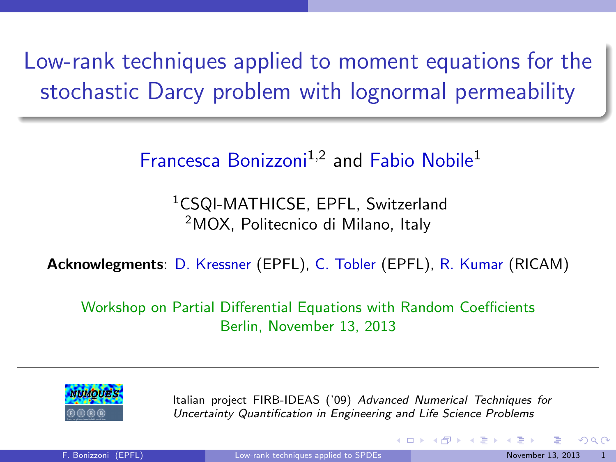Low-rank techniques applied to moment equations for the stochastic Darcy problem with lognormal permeability

Francesca Bonizzoni<sup>1,2</sup> and Fabio Nobile<sup>1</sup>

<sup>1</sup>CSQI-MATHICSE, EPFL, Switzerland <sup>2</sup>MOX, Politecnico di Milano, Italy

Acknowlegments: D. Kressner (EPFL), C. Tobler (EPFL), R. Kumar (RICAM)

Workshop on Partial Differential Equations with Random Coefficients Berlin, November 13, 2013



Italian project FIRB-IDEAS ('09) Advanced Numerical Techniques for Uncertainty Quantification in Engineering and Life Science Problems

<span id="page-0-0"></span> $\Omega$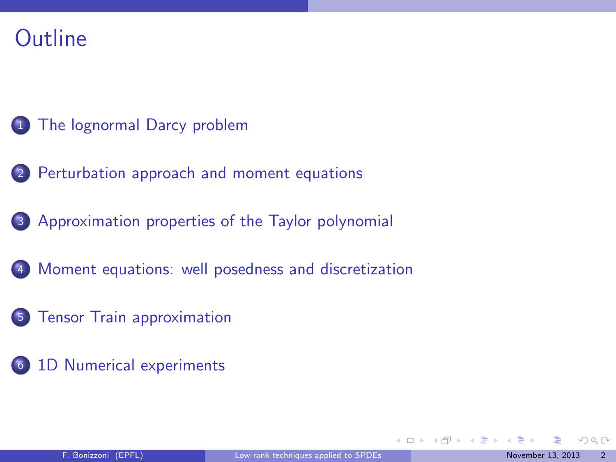## **Outline**

- <sup>1</sup> [The lognormal Darcy problem](#page-2-0)
- 2 [Perturbation approach and moment equations](#page-7-0)
- <sup>3</sup> [Approximation properties of the Taylor polynomial](#page-32-0)
- <sup>4</sup> [Moment equations: well posedness and discretization](#page-56-0)
- <sup>5</sup> [Tensor Train approximation](#page-63-0)
- <sup>6</sup> [1D Numerical experiments](#page-70-0)

<span id="page-1-0"></span> $\Omega$ 

**KO K K R K K D K**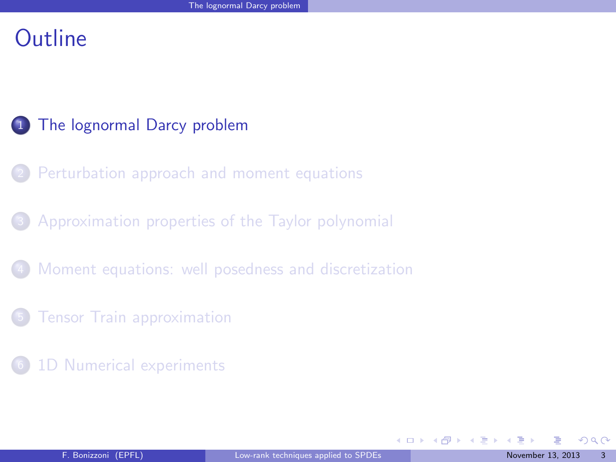## **Outline**

#### <sup>1</sup> [The lognormal Darcy problem](#page-2-0)

- [Perturbation approach and moment equations](#page-7-0)
- <sup>3</sup> [Approximation properties of the Taylor polynomial](#page-32-0)
- [Moment equations: well posedness and discretization](#page-56-0)
- **[Tensor Train approximation](#page-63-0)**
- [1D Numerical experiments](#page-70-0)

<span id="page-2-0"></span> $\Omega$ 

メロメ メタメ メミメス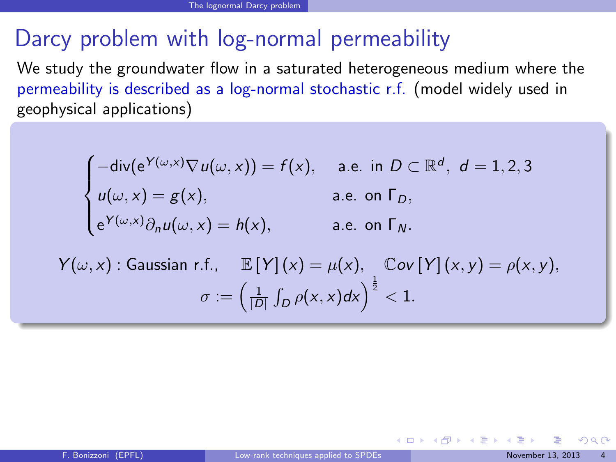# Darcy problem with log-normal permeability

We study the groundwater flow in a saturated heterogeneous medium where the permeability is described as a log-normal stochastic r.f. (model widely used in geophysical applications)

$$
\begin{cases}\n-\text{div}(e^{Y(\omega,x)}\nabla u(\omega,x)) = f(x), & \text{a.e. in } D \subset \mathbb{R}^d, d = 1,2,3 \\
u(\omega,x) = g(x), & \text{a.e. on } \Gamma_D, \\
e^{Y(\omega,x)}\partial_n u(\omega,x) = h(x), & \text{a.e. on } \Gamma_N.\n\end{cases}
$$

$$
Y(\omega, x): \text{Gaussian r.f., } \mathbb{E}[Y](x) = \mu(x), \quad \mathbb{C}ov[Y](x, y) = \rho(x, y),
$$
\n
$$
\sigma := \left(\frac{1}{|D|} \int_D \rho(x, x) dx\right)^{\frac{1}{2}} < 1.
$$

<span id="page-3-0"></span> $\Omega$ 

 $4$  O  $\rightarrow$   $4$   $\overline{m}$   $\rightarrow$   $4$   $\overline{m}$   $\rightarrow$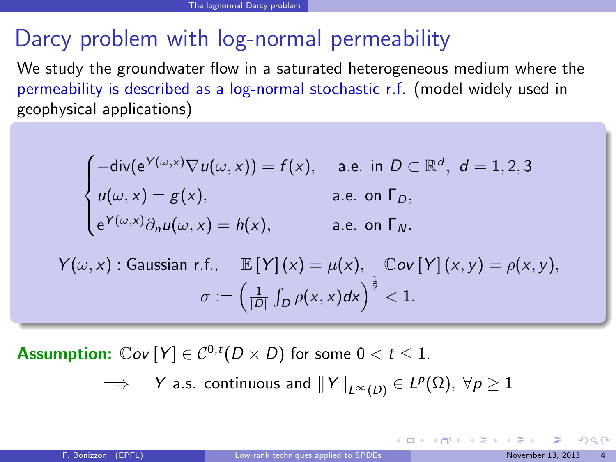# Darcy problem with log-normal permeability

We study the groundwater flow in a saturated heterogeneous medium where the permeability is described as a log-normal stochastic r.f. (model widely used in geophysical applications)

$$
\begin{cases}\n-\text{div}(e^{Y(\omega,x)}\nabla u(\omega,x)) = f(x), & \text{a.e. in } D \subset \mathbb{R}^d, d = 1,2,3 \\
u(\omega,x) = g(x), & \text{a.e. on } \Gamma_D, \\
e^{Y(\omega,x)}\partial_n u(\omega,x) = h(x), & \text{a.e. on } \Gamma_N.\n\end{cases}
$$

$$
Y(\omega, x): \text{Gaussian r.f., } \mathbb{E}[Y](x) = \mu(x), \quad \mathbb{C}ov[Y](x, y) = \rho(x, y),
$$
\n
$$
\sigma := \left(\frac{1}{|D|} \int_D \rho(x, x) dx\right)^{\frac{1}{2}} < 1.
$$

**Assumption:**  $\mathbb{C}ov[Y] \in C^{0,t}(\overline{D \times D})$  for some  $0 < t \leq 1$ .

$$
\implies \quad Y \text{ a.s. continuous and } \|Y\|_{L^{\infty}(D)} \in L^{p}(\Omega), \ \forall p \geq 1
$$

<span id="page-4-0"></span> $QQ$ 

メロト メ御 トメ きょ メきょ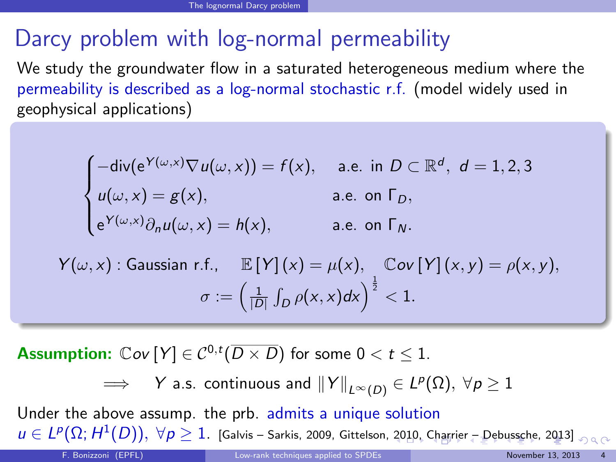# Darcy problem with log-normal permeability

We study the groundwater flow in a saturated heterogeneous medium where the permeability is described as a log-normal stochastic r.f. (model widely used in geophysical applications)

$$
\begin{cases}\n-\text{div}(e^{Y(\omega,x)}\nabla u(\omega,x)) = f(x), & \text{a.e. in } D \subset \mathbb{R}^d, d = 1,2,3 \\
u(\omega,x) = g(x), & \text{a.e. on } \Gamma_D, \\
e^{Y(\omega,x)}\partial_n u(\omega,x) = h(x), & \text{a.e. on } \Gamma_N.\n\end{cases}
$$

$$
Y(\omega, x): \text{Gaussian r.f., } \mathbb{E}[Y](x) = \mu(x), \quad \mathbb{C}ov[Y](x, y) = \rho(x, y),
$$
\n
$$
\sigma := \left(\frac{1}{|D|} \int_D \rho(x, x) dx\right)^{\frac{1}{2}} < 1.
$$

**Assumption:**  $\mathbb{C}ov[Y] \in C^{0,t}(\overline{D \times D})$  for some  $0 < t \leq 1$ .

<span id="page-5-0"></span> $\implies$   $\quad$   $Y$  a.s. continuous and  $\left\|Y\right\|_{L^{\infty}(D)}\in L^{p}(\Omega),\ \forall p\geq1$ 

Under the above assump. the prb. admits a unique solution  $u\in L^p(\Omega;H^1(D)),\ \forall \rho\geq 1.$  $u\in L^p(\Omega;H^1(D)),\ \forall \rho\geq 1.$  $u\in L^p(\Omega;H^1(D)),\ \forall \rho\geq 1.$  [\[Galvis – Sarkis, 2009,](#page-77-0) [Gittelson, 2010](#page-77-1), [Charrier – Debussche, 2013](#page-77-2)[\]](#page-86-0)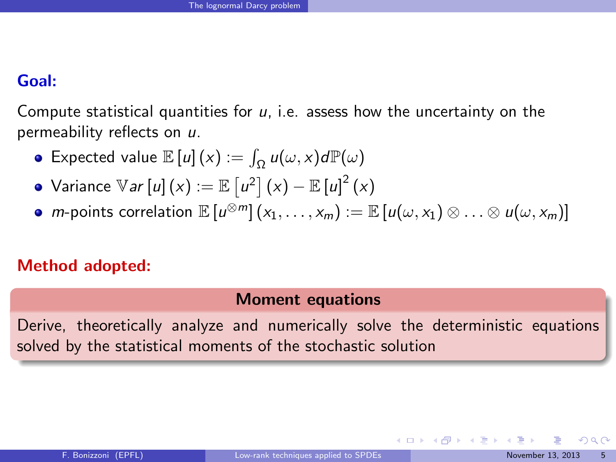#### Goal:

Compute statistical quantities for  $u$ , i.e. assess how the uncertainty on the permeability reflects on u.

- Expected value  $\mathbb{E}\left[u\right](x) := \int_{\Omega} u(\omega, x) d\mathbb{P}(\omega)$
- Variance  $\mathbb{V}$ *ar*  $[u]\left( x\right) :=\mathbb{E}\left[ u^{2}\right] \left( x\right) -\mathbb{E}\left[ u\right] ^{2}\left( x\right)$
- $m$ -points correlation  $\mathbb{E}\left[u^{\otimes m}\right](x_1,\ldots,x_m):=\mathbb{E}\left[u(\omega, x_1)\otimes\ldots\otimes u(\omega, x_m)\right]$

#### Method adopted:

#### Moment equations

Derive, theoretically analyze and numerically solve the deterministic equations solved by the statistical moments of the stochastic solution

<span id="page-6-0"></span> $\Omega$ 

 $\left\{ \begin{array}{ccc} 1 & 0 & 0 \\ 0 & 1 & 0 \end{array} \right.$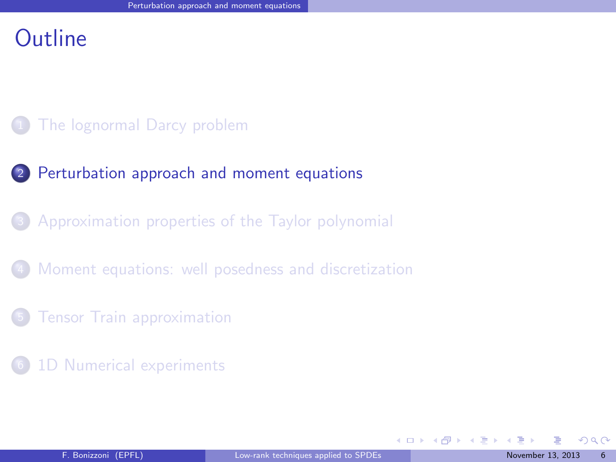### **Outline**

#### [The lognormal Darcy problem](#page-2-0)

#### 2 [Perturbation approach and moment equations](#page-7-0)

#### [Approximation properties of the Taylor polynomial](#page-32-0)

#### [Moment equations: well posedness and discretization](#page-56-0)

#### **[Tensor Train approximation](#page-63-0)**

#### [1D Numerical experiments](#page-70-0)

<span id="page-7-0"></span> $\Omega$ 

**K ロ ト K 御 ト K ミ ト**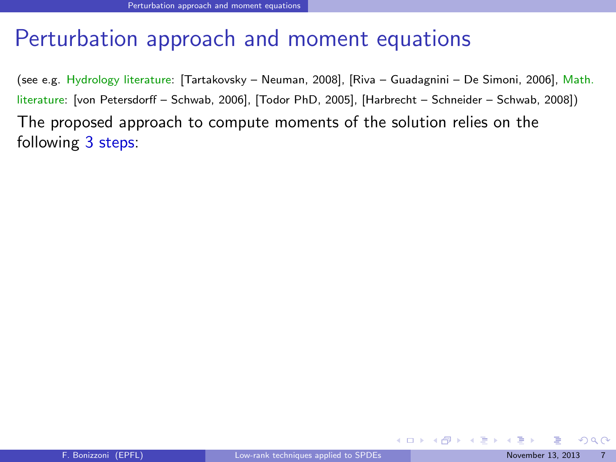(see e.g. Hydrology literature: [\[Tartakovsky – Neuman, 2008\]](#page-77-3), [\[Riva – Guadagnini – De Simoni, 2006\]](#page-77-4), Math. literature: [\[von Petersdorff – Schwab, 2006\]](#page-77-5), [\[Todor PhD, 2005\]](#page-77-6), [\[Harbrecht – Schneider – Schwab, 2008\]](#page-77-7)) The proposed approach to compute moments of the solution relies on the following 3 steps:

<span id="page-8-0"></span> $\Omega$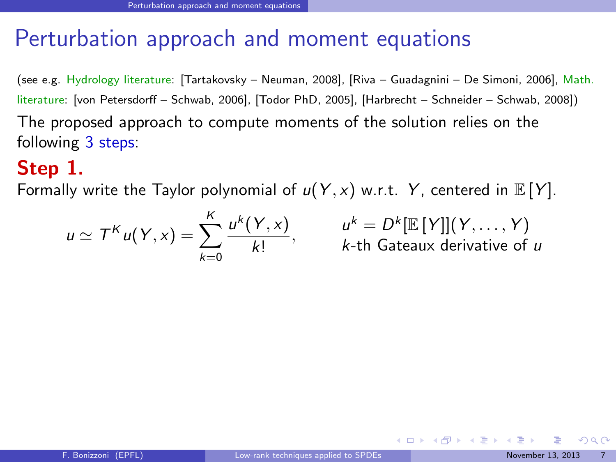(see e.g. Hydrology literature: [\[Tartakovsky – Neuman, 2008\]](#page-77-3), [\[Riva – Guadagnini – De Simoni, 2006\]](#page-77-4), Math. literature: [\[von Petersdorff – Schwab, 2006\]](#page-77-5), [\[Todor PhD, 2005\]](#page-77-6), [\[Harbrecht – Schneider – Schwab, 2008\]](#page-77-7)) The proposed approach to compute moments of the solution relies on the following 3 steps:

### Step 1.

Formally write the Taylor polynomial of  $u(Y, x)$  w.r.t. Y, centered in  $E[Y]$ .

$$
u \simeq T^K u(Y, x) = \sum_{k=0}^K \frac{u^k(Y, x)}{k!}, \qquad \quad u^k = D^k[\mathbb{E}[Y]](Y, \dots, Y)
$$
  
k-th Gateaux derivative of u

<span id="page-9-0"></span> $\Omega$ 

 $\left\{ \begin{array}{ccc} 1 & 0 & 0 \\ 0 & 1 & 0 \end{array} \right.$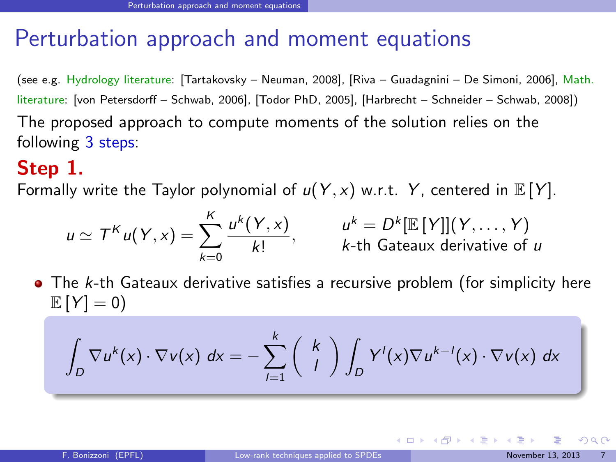(see e.g. Hydrology literature: [\[Tartakovsky – Neuman, 2008\]](#page-77-3), [\[Riva – Guadagnini – De Simoni, 2006\]](#page-77-4), Math. literature: [\[von Petersdorff – Schwab, 2006\]](#page-77-5), [\[Todor PhD, 2005\]](#page-77-6), [\[Harbrecht – Schneider – Schwab, 2008\]](#page-77-7)) The proposed approach to compute moments of the solution relies on the following 3 steps:

### Step 1.

Formally write the Taylor polynomial of  $u(Y, x)$  w.r.t. Y, centered in  $E[Y]$ .

$$
u \simeq T^K u(Y, x) = \sum_{k=0}^K \frac{u^k(Y, x)}{k!}, \qquad \quad u^k = D^k[\mathbb{E}[Y]](Y, \dots, Y)
$$
  
k-th Gateaux derivative of u

 $\bullet$  The k-th Gateaux derivative satisfies a recursive problem (for simplicity here  $\mathbb{E}[Y] = 0$ 

$$
\int_D \nabla u^k(x) \cdot \nabla v(x) dx = - \sum_{l=1}^k \binom{k}{l} \int_D Y^l(x) \nabla u^{k-l}(x) \cdot \nabla v(x) dx
$$

<span id="page-10-0"></span> $\Omega$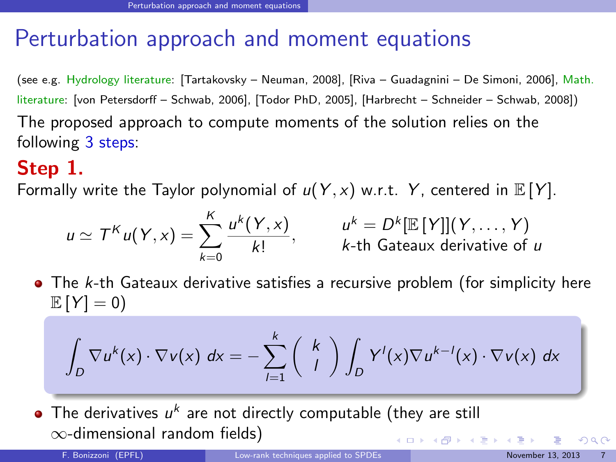(see e.g. Hydrology literature: [\[Tartakovsky – Neuman, 2008\]](#page-77-3), [\[Riva – Guadagnini – De Simoni, 2006\]](#page-77-4), Math. literature: [\[von Petersdorff – Schwab, 2006\]](#page-77-5), [\[Todor PhD, 2005\]](#page-77-6), [\[Harbrecht – Schneider – Schwab, 2008\]](#page-77-7)) The proposed approach to compute moments of the solution relies on the following 3 steps:

### Step 1.

Formally write the Taylor polynomial of  $u(Y, x)$  w.r.t. Y, centered in  $E[Y]$ .

$$
u \simeq T^K u(Y, x) = \sum_{k=0}^K \frac{u^k(Y, x)}{k!}, \qquad \quad u^k = D^k[\mathbb{E}[Y]](Y, \dots, Y)
$$
  
k-th Gateaux derivative of u

 $\bullet$  The k-th Gateaux derivative satisfies a recursive problem (for simplicity here  $\mathbb{E}[Y] = 0$ 

$$
\int_D \nabla u^k(x) \cdot \nabla v(x) dx = - \sum_{l=1}^k \binom{k}{l} \int_D Y^l(x) \nabla u^{k-l}(x) \cdot \nabla v(x) dx
$$

The derivatives  $u^k$  are not directly computable (they are still ∞-dimensional random fields) **K ロ ト K 倒 ト K 差 ト K** 

<span id="page-11-0"></span> $\Omega$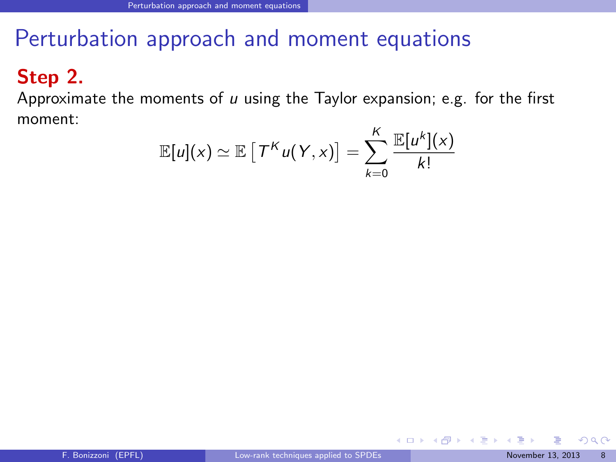### Step 2.

Approximate the moments of  $u$  using the Taylor expansion; e.g. for the first moment:  $\overline{f}$ 

$$
\mathbb{E}[u](x) \simeq \mathbb{E}\left[T^{K} u(Y,x)\right] = \sum_{k=0}^{K} \frac{\mathbb{E}[u^{k}](x)}{k!}
$$

<span id="page-12-0"></span> $\Omega$ 

イロト イ部ト イミト イミト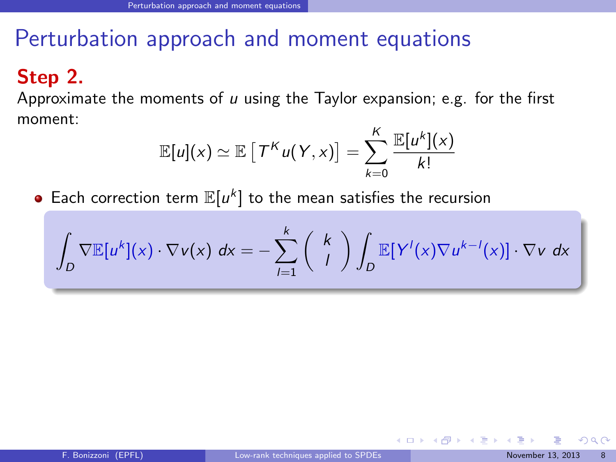#### Step 2.

Approximate the moments of  $u$  using the Taylor expansion; e.g. for the first moment:

$$
\mathbb{E}[u](x) \simeq \mathbb{E}\left[\mathcal{T}^K u(\mathcal{Y},x)\right] = \sum_{k=0}^K \frac{\mathbb{E}[u^k](x)}{k!}
$$

Each correction term  $\mathbb{E}[u^k]$  to the mean satisfies the recursion

$$
\int_D \nabla \mathbb{E}[u^k](x) \cdot \nabla v(x) dx = - \sum_{l=1}^k \binom{k}{l} \int_D \mathbb{E}[Y^l(x) \nabla u^{k-l}(x)] \cdot \nabla v dx
$$

<span id="page-13-0"></span> $\Omega$ 

 $\left\{ \begin{array}{ccc} 1 & 0 & 0 \\ 0 & 1 & 0 \end{array} \right.$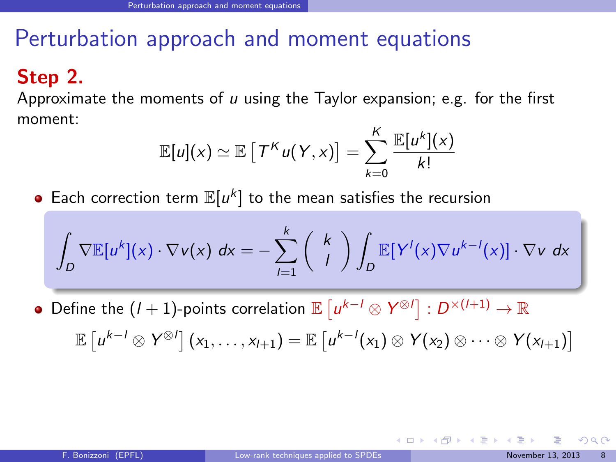#### Step 2.

Approximate the moments of  $u$  using the Taylor expansion; e.g. for the first moment:

$$
\mathbb{E}[u](x) \simeq \mathbb{E}\left[\left.\mathcal{T}^K u(\mathcal{Y},x)\right.\right] = \sum_{k=0}^K \frac{\mathbb{E}[u^k](x)}{k!}
$$

Each correction term  $\mathbb{E}[u^k]$  to the mean satisfies the recursion

$$
\int_D \nabla \mathbb{E}[u^k](x) \cdot \nabla v(x) dx = - \sum_{l=1}^k \binom{k}{l} \int_D \mathbb{E}[Y^l(x) \nabla u^{k-l}(x)] \cdot \nabla v dx
$$

Define the  $(l + 1)$ -points correlation  $\mathbb{E}\left[u^{k-l}\otimes Y^{\otimes l}\right] : D^{\times (l+1)} \to \mathbb{R}$  $\mathbb{E}\left[ u^{k-l} \otimes Y^{\otimes l} \right] (x_1,\ldots,x_{l+1}) = \mathbb{E}\left[ u^{k-l}(x_1) \otimes Y(x_2) \otimes \cdots \otimes Y(x_{l+1}) \right]$ 

<span id="page-14-0"></span>イロト イ押 トイヨ トイヨ トー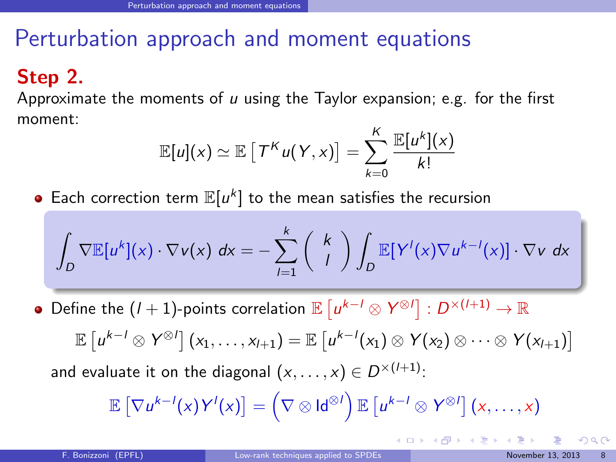### Step 2.

Approximate the moments of  $u$  using the Taylor expansion; e.g. for the first moment:

$$
\mathbb{E}[u](x) \simeq \mathbb{E}\left[\left.\mathcal{T}^K u(\mathcal{Y},x)\right.\right] = \sum_{k=0}^K \frac{\mathbb{E}[u^k](x)}{k!}
$$

Each correction term  $\mathbb{E}[u^k]$  to the mean satisfies the recursion

$$
\int_D \nabla \mathbb{E}[u^k](x) \cdot \nabla v(x) dx = - \sum_{l=1}^k \binom{k}{l} \int_D \mathbb{E}[Y^l(x) \nabla u^{k-l}(x)] \cdot \nabla v dx
$$

Define the  $(l + 1)$ -points correlation  $\mathbb{E}\left[u^{k-l}\otimes Y^{\otimes l}\right] : D^{\times (l+1)} \to \mathbb{R}$  $\mathbb{E}\left[ u^{k-l} \otimes Y^{\otimes l} \right] (x_1,\ldots,x_{l+1}) = \mathbb{E}\left[ u^{k-l}(x_1) \otimes Y(x_2) \otimes \cdots \otimes Y(x_{l+1}) \right]$ and evaluate it on the diagonal  $(x, \ldots, x) \in D^{\times (l+1)}$ :

$$
\mathbb{E}\left[\nabla u^{k-l}(x)Y^{l}(x)\right]=\left(\nabla\otimes\mathsf{Id}^{\otimes l}\right)\mathbb{E}\left[u^{k-l}\otimes Y^{\otimes l}\right](x,\ldots,x)
$$

<span id="page-15-0"></span>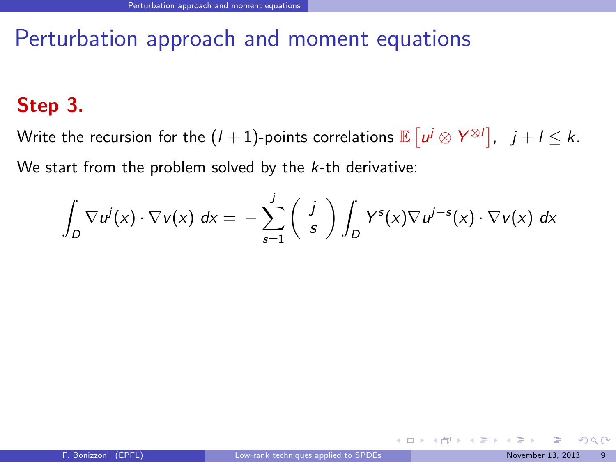### Step 3.

Write the recursion for the  $(l+1)$ -points correlations  $\mathbb{E}\left[ \left. \mu^j \otimes \mathsf{Y}^{\otimes l} \right], \;\; j+l \leq k. \right.$ We start from the problem solved by the  $k$ -th derivative:

$$
\int_D \nabla u^j(x) \cdot \nabla v(x) dx = - \sum_{s=1}^j \left( \begin{array}{c} j \\ s \end{array} \right) \int_D Y^s(x) \nabla u^{j-s}(x) \cdot \nabla v(x) dx
$$

<span id="page-16-0"></span> $\Omega$ 

 $\left\{ \begin{array}{ccc} 1 & 0 & 0 \\ 0 & 1 & 0 \end{array} \right.$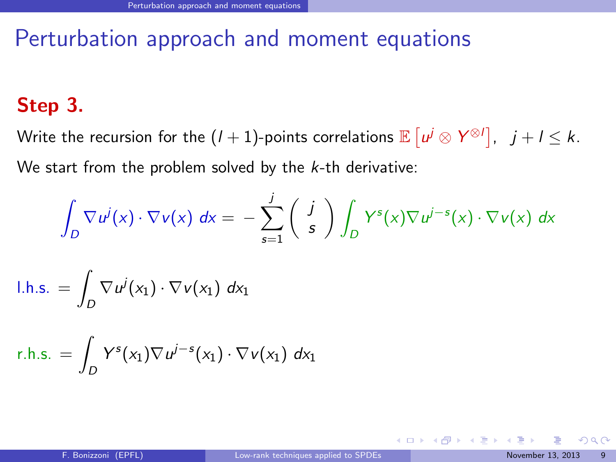### Step 3.

Write the recursion for the  $(l+1)$ -points correlations  $\mathbb{E}\left[ \left. \mu^j \otimes \mathsf{Y}^{\otimes l} \right], \;\; j+l \leq k. \right.$ We start from the problem solved by the  $k$ -th derivative:

$$
\int_D \nabla u^j(x) \cdot \nabla v(x) dx = - \sum_{s=1}^j \left( \begin{array}{c} j \\ s \end{array} \right) \int_D Y^s(x) \nabla u^{j-s}(x) \cdot \nabla v(x) dx
$$

$$
I.h.s. = \int_D \nabla u^j(x_1) \cdot \nabla v(x_1) \, dx_1
$$

$$
r.h.s. = \int_D Y^s(x_1) \nabla u^{j-s}(x_1) \cdot \nabla v(x_1) dx_1
$$

<span id="page-17-0"></span> $\Omega$ 

 $\left\{ \begin{array}{ccc} 1 & 0 & 0 \\ 0 & 1 & 0 \end{array} \right.$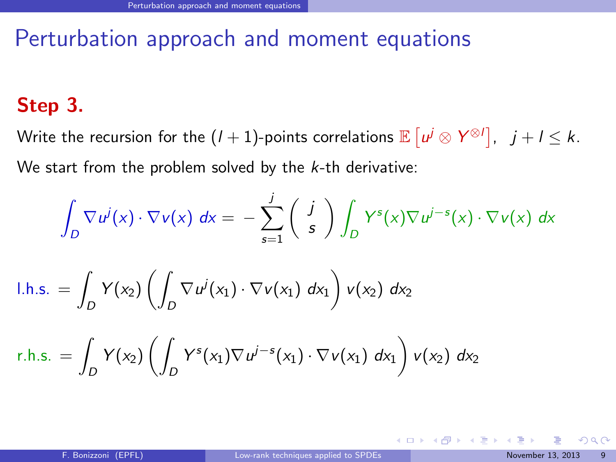### Step 3.

Write the recursion for the  $(l+1)$ -points correlations  $\mathbb{E}\left[ \left. \mu^j \otimes \mathsf{Y}^{\otimes l} \right], \;\; j+l \leq k. \right.$ We start from the problem solved by the  $k$ -th derivative:

$$
\int_D \nabla u^j(x) \cdot \nabla v(x) dx = - \sum_{s=1}^j \left( \begin{array}{c} j \\ s \end{array} \right) \int_D Y^s(x) \nabla u^{j-s}(x) \cdot \nabla v(x) dx
$$

$$
I.h.s. = \int_D Y(x_2) \left( \int_D \nabla u^j(x_1) \cdot \nabla v(x_1) dx_1 \right) v(x_2) dx_2
$$

r.h.s. = 
$$
\int_D Y(x_2) \left( \int_D Y^s(x_1) \nabla u^{j-s}(x_1) \cdot \nabla v(x_1) dx_1 \right) v(x_2) dx_2
$$

<span id="page-18-0"></span> $\Omega$ 

 $4$  O  $\rightarrow$   $4$   $\overline{m}$   $\rightarrow$   $4$   $\overline{m}$   $\rightarrow$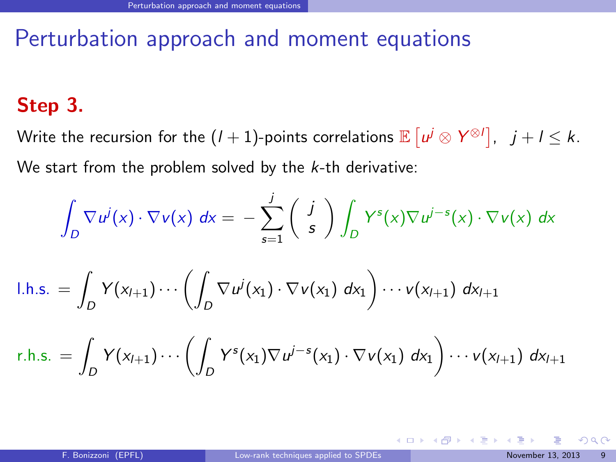### Step 3.

Write the recursion for the  $(l+1)$ -points correlations  $\mathbb{E}\left[ \left. \mu^j \otimes \mathsf{Y}^{\otimes l} \right], \;\; j+l \leq k. \right.$ We start from the problem solved by the  $k$ -th derivative:

$$
\int_D \nabla u^j(x) \cdot \nabla v(x) dx = - \sum_{s=1}^j \left( \begin{array}{c} j \\ s \end{array} \right) \int_D Y^s(x) \nabla u^{j-s}(x) \cdot \nabla v(x) dx
$$

$$
I.h.s. = \int_D Y(x_{l+1}) \cdots \left( \int_D \nabla u^{j}(x_1) \cdot \nabla v(x_1) \, dx_1 \right) \cdots v(x_{l+1}) \, dx_{l+1}
$$

$$
r.h.s. = \int_D Y(x_{l+1}) \cdots \left( \int_D Y^s(x_1) \nabla u^{j-s}(x_1) \cdot \nabla v(x_1) dx_1 \right) \cdots v(x_{l+1}) dx_{l+1}
$$

<span id="page-19-0"></span> $\Omega$ 

 $4$  O  $\rightarrow$   $4$   $\overline{m}$   $\rightarrow$   $4$   $\overline{m}$   $\rightarrow$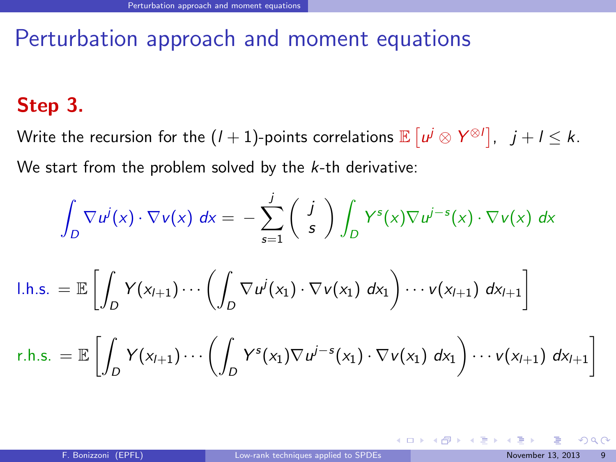### Step 3.

Write the recursion for the  $(l+1)$ -points correlations  $\mathbb{E}\left[ \left. \mu^j \otimes \mathsf{Y}^{\otimes l} \right], \;\; j+l \leq k. \right.$ We start from the problem solved by the  $k$ -th derivative:

$$
\int_D \nabla u^j(x) \cdot \nabla v(x) dx = - \sum_{s=1}^j \left( \begin{array}{c} j \\ s \end{array} \right) \int_D Y^s(x) \nabla u^{j-s}(x) \cdot \nabla v(x) dx
$$

$$
I.h.s. = \mathbb{E}\left[\int_D Y(x_{l+1})\cdots\left(\int_D \nabla u^j(x_1)\cdot\nabla v(x_1) dx_1\right)\cdots v(x_{l+1}) dx_{l+1}\right]
$$

$$
r.h.s. = \mathbb{E}\left[\int_D Y(x_{l+1})\cdots\left(\int_D Y^s(x_1)\nabla u^{j-s}(x_1)\cdot\nabla v(x_1) dx_1\right)\cdots v(x_{l+1}) dx_{l+1}\right]
$$

<span id="page-20-0"></span> $\Omega$ 

 $4$  ロ }  $4$   $\overline{m}$  }  $4$   $\overline{m}$  }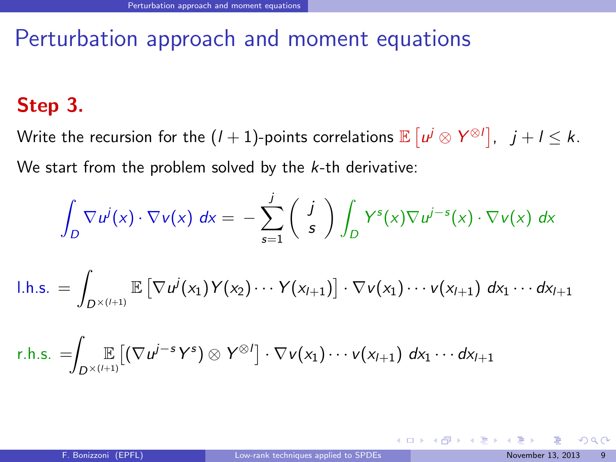### Step 3.

Write the recursion for the  $(l+1)$ -points correlations  $\mathbb{E}\left[ \left. \mu^j \otimes \mathsf{Y}^{\otimes l} \right], \;\; j+l \leq k. \right.$ We start from the problem solved by the  $k$ -th derivative:

$$
\int_D \nabla u^j(x) \cdot \nabla v(x) dx = - \sum_{s=1}^j \left( \begin{array}{c} j \\ s \end{array} \right) \int_D Y^s(x) \nabla u^{j-s}(x) \cdot \nabla v(x) dx
$$

$$
I.h.s. = \int_{D^{\times (l+1)}} \mathbb{E}\left[\nabla u^{j}(x_1)Y(x_2)\cdots Y(x_{l+1})\right] \cdot \nabla v(x_1)\cdots v(x_{l+1}) dx_1\cdots dx_{l+1}
$$

$$
r.h.s. = \int_{D^{\times(l+1)}} \left[ \left( \nabla u^{j-s} Y^s \right) \otimes Y^{\otimes l} \right] \cdot \nabla v(x_1) \cdots v(x_{l+1}) \, dx_1 \cdots dx_{l+1}
$$

<span id="page-21-0"></span> $\Omega$ 

 $\left\{ \begin{array}{ccc} 1 & 0 & 0 \\ 0 & 1 & 0 \end{array} \right.$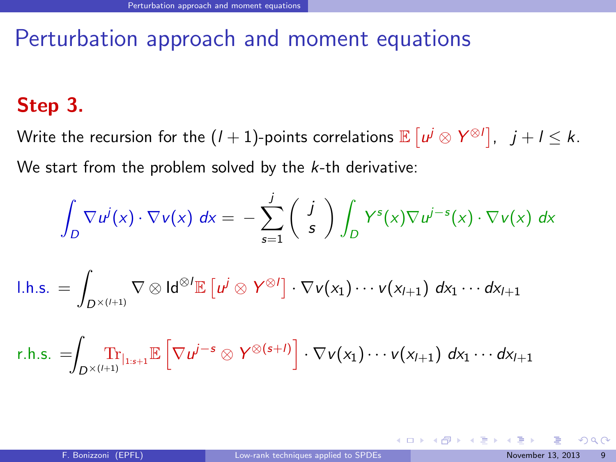### Step 3.

Write the recursion for the  $(l+1)$ -points correlations  $\mathbb{E}\left[ \left. \mu^j \otimes \mathsf{Y}^{\otimes l} \right], \;\; j+l \leq k. \right.$ We start from the problem solved by the  $k$ -th derivative:

$$
\int_D \nabla u^j(x) \cdot \nabla v(x) dx = - \sum_{s=1}^j \left( \begin{array}{c} j \\ s \end{array} \right) \int_D Y^s(x) \nabla u^{j-s}(x) \cdot \nabla v(x) dx
$$

$$
I.h.s. = \int_{D^{\times (l+1)}} \nabla \otimes \mathsf{Id}^{\otimes l} \mathbb{E} \left[ u^j \otimes Y^{\otimes l} \right] \cdot \nabla v(x_1) \cdots v(x_{l+1}) \, dx_1 \cdots dx_{l+1}
$$

r.h.s. = Z D×(l+1) Tr<sup>|</sup>1:s+1E h ∇u <sup>j</sup>−<sup>s</sup> ⊗ Y ⊗(s+l) i · ∇v(x1)· · · v(xl+1) dx<sup>1</sup> · · · dxl+1

<span id="page-22-0"></span> $QQ$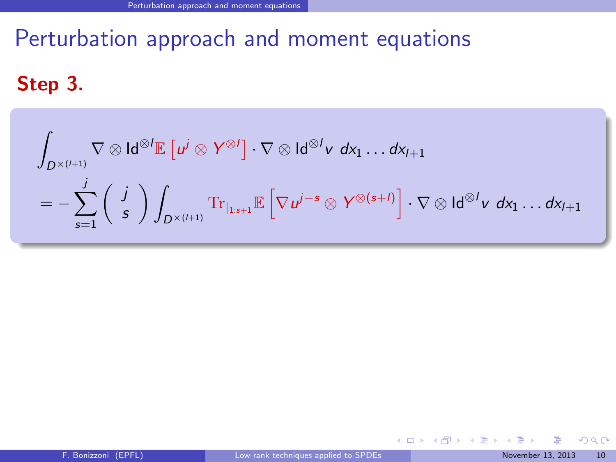Step 3.

$$
\int_{D^{\times (l+1)}} \nabla \otimes \mathsf{Id}^{\otimes l} \mathbb{E} \left[ u^j \otimes Y^{\otimes l} \right] \cdot \nabla \otimes \mathsf{Id}^{\otimes l} v \, dx_1 \dots dx_{l+1}
$$
\n
$$
= - \sum_{s=1}^j \left( \begin{array}{c} j \\ s \end{array} \right) \int_{D^{\times (l+1)}} \mathrm{Tr}_{|_{1:s+1}} \mathbb{E} \left[ \nabla u^{j-s} \otimes Y^{\otimes (s+l)} \right] \cdot \nabla \otimes \mathsf{Id}^{\otimes l} v \, dx_1 \dots dx_{l+1}
$$

舌

<span id="page-23-0"></span> $299$ 

**K ロ ト K 倒 ト K 差 ト K**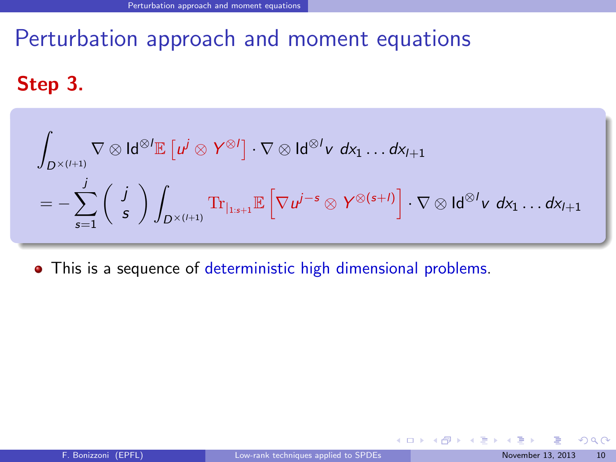Step 3.

$$
\int_{D^{\times (l+1)}} \nabla \otimes \mathsf{Id}^{\otimes l} \mathbb{E} \left[ u^j \otimes Y^{\otimes l} \right] \cdot \nabla \otimes \mathsf{Id}^{\otimes l} v \, dx_1 \dots dx_{l+1} \n= - \sum_{s=1}^j \left( \begin{array}{c} j \\ s \end{array} \right) \int_{D^{\times (l+1)}} \mathrm{Tr}_{\vert_{1:s+1}} \mathbb{E} \left[ \nabla u^{j-s} \otimes Y^{\otimes (s+l)} \right] \cdot \nabla \otimes \mathsf{Id}^{\otimes l} v \, dx_1 \dots dx_{l+1}
$$

This is a sequence of deterministic high dimensional problems.

<span id="page-24-0"></span> $298$ 

メロメ メタメ メミメス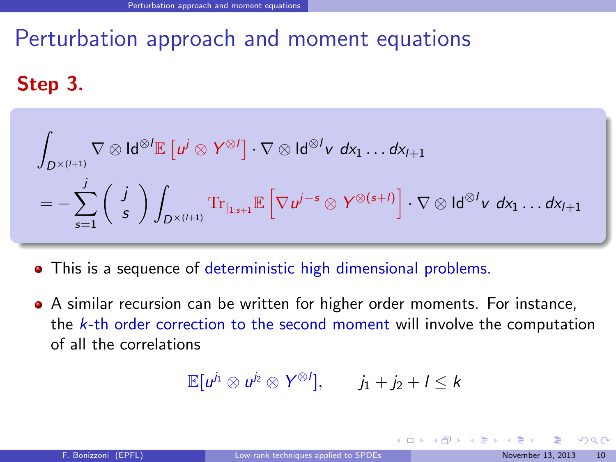## Step 3.

$$
\int_{D^{\times (l+1)}} \nabla \otimes \mathsf{Id}^{\otimes l} \mathbb{E} \left[ u^j \otimes Y^{\otimes l} \right] \cdot \nabla \otimes \mathsf{Id}^{\otimes l} v \, dx_1 \dots dx_{l+1}
$$
\n
$$
= - \sum_{s=1}^j \left( \begin{array}{c} j \\ s \end{array} \right) \int_{D^{\times (l+1)}} \mathrm{Tr}_{|_{1:s+1}} \mathbb{E} \left[ \nabla u^{j-s} \otimes Y^{\otimes (s+l)} \right] \cdot \nabla \otimes \mathsf{Id}^{\otimes l} v \, dx_1 \dots dx_{l+1}
$$

This is a sequence of deterministic high dimensional problems.

A similar recursion can be written for higher order moments. For instance, the  $k$ -th order correction to the second moment will involve the computation of all the correlations

$$
\mathbb{E}[u^{j_1} \otimes u^{j_2} \otimes Y^{\otimes l}], \qquad j_1 + j_2 + l \leq k
$$

<span id="page-25-0"></span> $\Omega$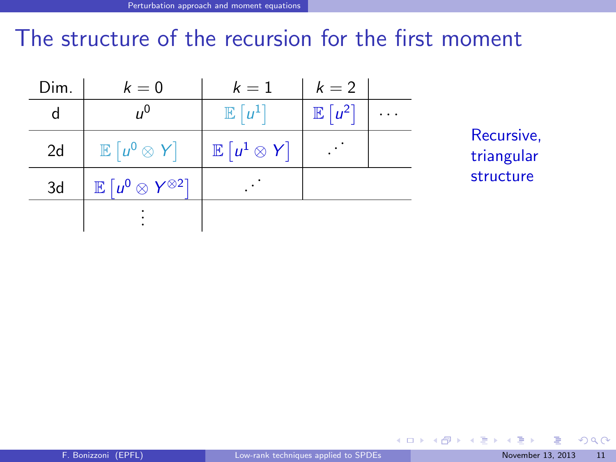# The structure of the recursion for the first moment

| Dim. | $k=0$                                                 | $k=1$                        | $k=2$             |  |
|------|-------------------------------------------------------|------------------------------|-------------------|--|
| d    | $n^{0}$                                               | $\mathbb{E}[u^1]$            | $\mathbb{E}[u^2]$ |  |
| 2d   | $\mathbb{E} [u^0 \otimes Y]$                          | $\mathbb{E} [u^1 \otimes Y]$ |                   |  |
| 3d   | $\mathbb{E} \left[ u^0 \otimes Y^{\otimes 2} \right]$ |                              |                   |  |
|      |                                                       |                              |                   |  |

Recursive, triangular structure

<span id="page-26-0"></span> $299$ 

**K ロ ト K 御 ト K 君 ト**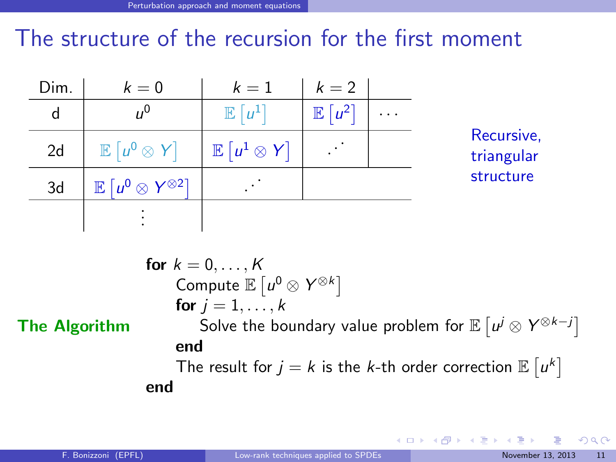# The structure of the recursion for the first moment

| Dim. | $k=0$                                                 | $k=1$                        | $k=2$             |          |                          |
|------|-------------------------------------------------------|------------------------------|-------------------|----------|--------------------------|
| d    | $\mu^0$                                               | $\mathbb{E}  u^1 $           | $\mathbb{E}[u^2]$ | $\cdots$ | Recursive,<br>triangular |
| 2d   | $\mathbb{E} [u^0 \otimes Y]$                          | $\mathbb{E} [u^1 \otimes Y]$ |                   |          |                          |
| 3d   | $\mathbb{E} \left[ u^0 \otimes Y^{\otimes 2} \right]$ |                              |                   |          | structure                |
|      |                                                       |                              |                   |          |                          |

| for $k = 0, ..., K$                                                           |
|-------------------------------------------------------------------------------|
| Compute $\mathbb{E}[u^0 \otimes Y^{\otimes k}]$                               |
| for $j = 1, ..., k$                                                           |
| To $j = 1, ..., k$                                                            |
| Now the boundary value problem for $\mathbb{E}[u^j \otimes Y^{\otimes k-j}]$  |
| end                                                                           |
| The result for $j = k$ is the <i>k</i> -th order correction $\mathbb{E}[u^k]$ |
| end                                                                           |

<span id="page-27-0"></span> $299$ 

メロメ メタメ メミメー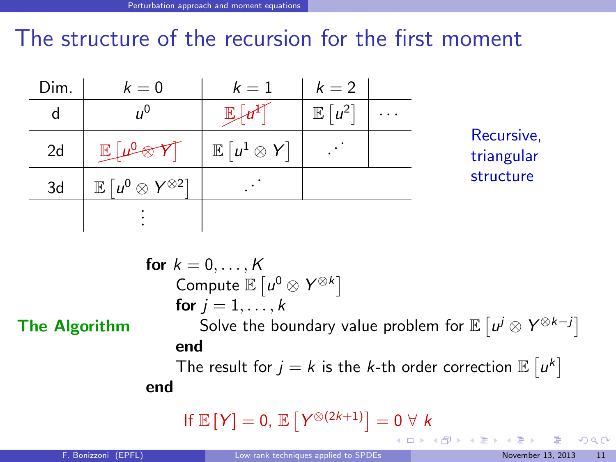# The structure of the recursion for the first moment

| Dim. | $k=0$                                                 | $k=1$                        | $k=2$                   |          |                          |
|------|-------------------------------------------------------|------------------------------|-------------------------|----------|--------------------------|
| d    |                                                       |                              | $ u^{2}$<br>$\mathbb E$ | $\cdots$ | Recursive,<br>triangular |
| 2d   | $\mathbb{R}$                                          | $\mathbb{E} [u^1 \otimes Y]$ |                         |          |                          |
| 3d   | $\mathbb{E} \left[ u^0 \otimes Y^{\otimes 2} \right]$ |                              |                         |          | structure                |
|      |                                                       |                              |                         |          |                          |

The Algorithm

for  $k = 0, \ldots, K$ Compute  $\mathbb{E} \left[ u^0 \otimes Y^{\otimes k} \right]$ for  $i = 1, \ldots, k$ Solve the boundary value problem for  $\mathbb{E}\left[ \left. \mu^j \otimes Y^{\otimes k-j} \right\rangle \right]$ end The result for  $j = k$  is the k-th order correction  $\mathbb{E} \left[ u^k \right]$ end

If 
$$
\mathbb{E}[Y] = 0
$$
,  $\mathbb{E}[Y^{\otimes (2k+1)}] = 0 \forall k$ 

<span id="page-28-0"></span> $\Omega$ 

メロト メ御 トメ きょ メきょ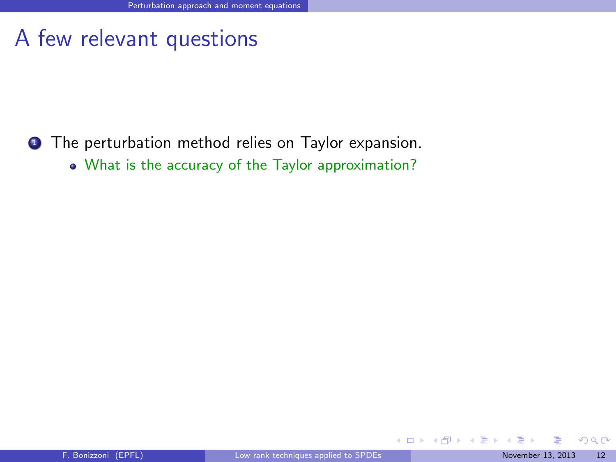## A few relevant questions

- **1** The perturbation method relies on Taylor expansion.
	- What is the accuracy of the Taylor approximation?

<span id="page-29-0"></span> $290$ 

 $4$  O  $\rightarrow$   $4$   $\overline{m}$   $\rightarrow$   $4$   $\overline{m}$   $\rightarrow$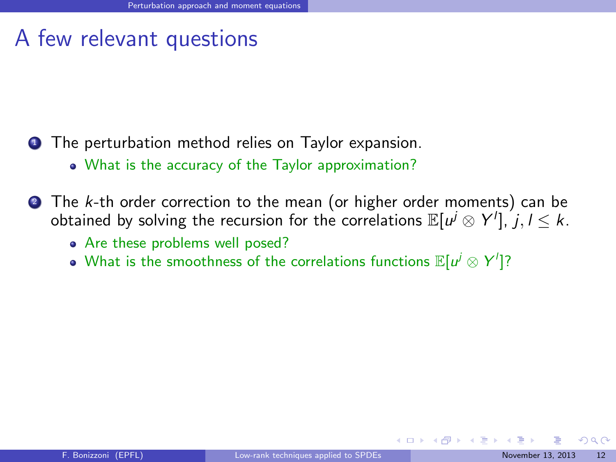## A few relevant questions

- **1** The perturbation method relies on Taylor expansion.
	- What is the accuracy of the Taylor approximation?
- **2** The k-th order correction to the mean (or higher order moments) can be obtained by solving the recursion for the correlations  $\mathbb{E}[\mathbb{u}^j\otimes \mathsf{Y}^l], j,l\leq k.$ 
	- Are these problems well posed?
	- What is the smoothness of the correlations functions  $\mathbb{E}[u^j\otimes Y']$ ?

<span id="page-30-0"></span> $\Omega$ 

イロト イ押ト イヨト イ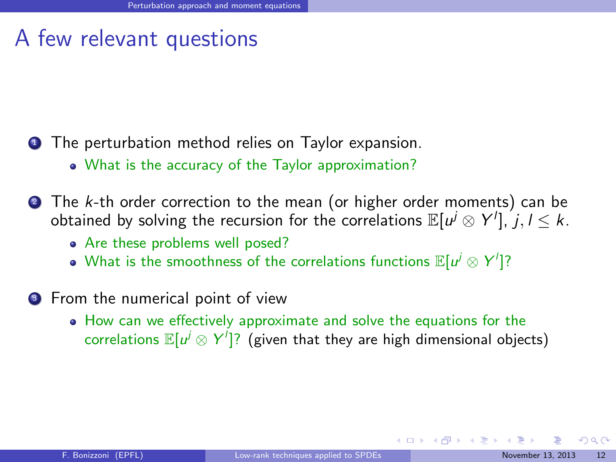## A few relevant questions

- **1** The perturbation method relies on Taylor expansion.
	- What is the accuracy of the Taylor approximation?
- **2** The k-th order correction to the mean (or higher order moments) can be obtained by solving the recursion for the correlations  $\mathbb{E}[\mathbb{u}^j\otimes \mathsf{Y}^l], j,l\leq k.$ 
	- Are these problems well posed?
	- What is the smoothness of the correlations functions  $\mathbb{E}[u^j\otimes Y']$ ?
- **3** From the numerical point of view
	- How can we effectively approximate and solve the equations for the correlations  $\mathbb{E}[u^j \otimes Y']$ ? (given that they are high dimensional objects)

<span id="page-31-0"></span> $\Omega$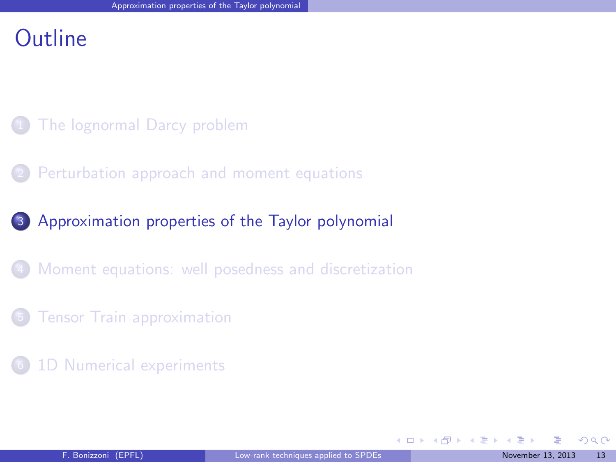### **Outline**

- [The lognormal Darcy problem](#page-2-0)
- [Perturbation approach and moment equations](#page-7-0)
- <sup>3</sup> [Approximation properties of the Taylor polynomial](#page-32-0)
	- [Moment equations: well posedness and discretization](#page-56-0)
- **[Tensor Train approximation](#page-63-0)**
- [1D Numerical experiments](#page-70-0)

<span id="page-32-0"></span> $\Omega$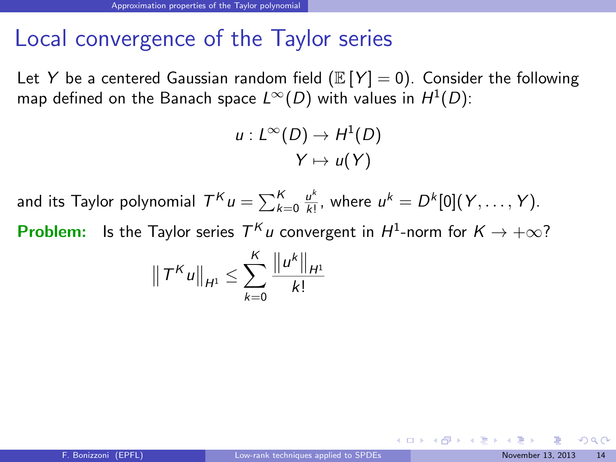## Local convergence of the Taylor series

Let Y be a centered Gaussian random field ( $\mathbb{E}[Y] = 0$ ). Consider the following map defined on the Banach space  $L^{\infty}(D)$  with values in  $H^{1}(D)$ :

$$
u: L^{\infty}(D) \to H^1(D)
$$

$$
Y \mapsto u(Y)
$$

and its Taylor polynomial  $\mathcal{T}^{\mathcal{K}} u = \sum_{k=0}^{\mathcal{K}} \frac{u^k}{k!}$  $\frac{u^k}{k!}$ , where  $u^k = D^k[0](Y, \ldots, Y)$ . **Problem:** Is the Taylor series  $T^K u$  convergent in  $H^1$ -norm for  $K \to +\infty$ ?

$$
\|T^K u\|_{H^1} \leq \sum_{k=0}^K \frac{\|u^k\|_{H^1}}{k!}
$$

<span id="page-33-0"></span> $\Omega$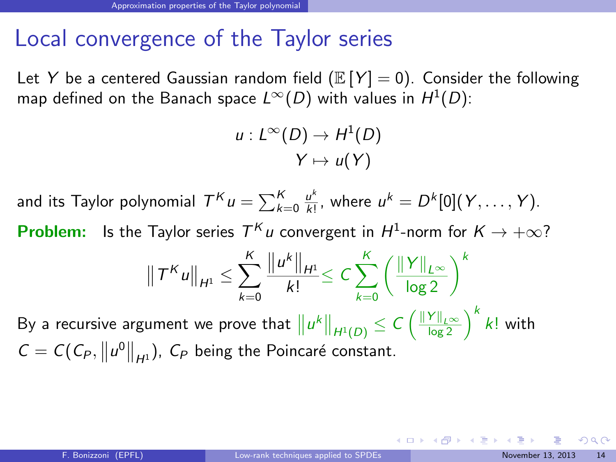## Local convergence of the Taylor series

Let Y be a centered Gaussian random field ( $\mathbb{E}[Y] = 0$ ). Consider the following map defined on the Banach space  $L^{\infty}(D)$  with values in  $H^{1}(D)$ :

$$
u: L^{\infty}(D) \to H^1(D)
$$

$$
Y \mapsto u(Y)
$$

and its Taylor polynomial  $\mathcal{T}^{\mathcal{K}} u = \sum_{k=0}^{\mathcal{K}} \frac{u^k}{k!}$  $\frac{u^k}{k!}$ , where  $u^k = D^k[0](Y, \ldots, Y)$ . **Problem:** Is the Taylor series  $T^K u$  convergent in  $H^1$ -norm for  $K \to +\infty$ ?

$$
\|T^{K}u\|_{H^{1}} \leq \sum_{k=0}^{K} \frac{\|u^{k}\|_{H^{1}}}{k!} \leq C \sum_{k=0}^{K} \left(\frac{\|Y\|_{L^{\infty}}}{\log 2}\right)^{k}
$$

By a recursive argument we prove that  $\|u^k\|_{H^1(D)}\leq C\left(\frac{\|Y\|_{L^\infty}}{\log 2}\right)^k k!$  with  $C = C(C_P, ||u^0||_{H^1})$ ,  $C_P$  being the Poincaré constant.

<span id="page-34-0"></span> $\Omega$ 

 $\left\{ \begin{array}{ccc} 1 & 0 & 0 \\ 0 & 1 & 0 \end{array} \right.$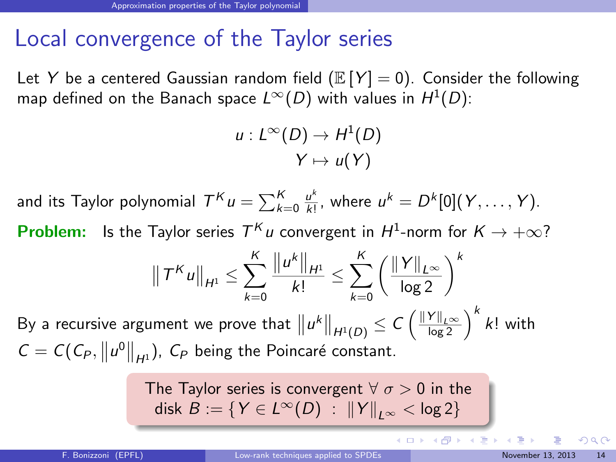## Local convergence of the Taylor series

Let Y be a centered Gaussian random field ( $\mathbb{E}[Y] = 0$ ). Consider the following map defined on the Banach space  $L^{\infty}(D)$  with values in  $H^{1}(D)$ :

$$
u: L^{\infty}(D) \to H^1(D)
$$

$$
Y \mapsto u(Y)
$$

and its Taylor polynomial  $\mathcal{T}^{\mathcal{K}} u = \sum_{k=0}^{\mathcal{K}} \frac{u^k}{k!}$  $\frac{u^k}{k!}$ , where  $u^k = D^k[0](Y, \ldots, Y)$ . **Problem:** Is the Taylor series  $T^K u$  convergent in  $H^1$ -norm for  $K \to +\infty$ ?

$$
\|T^K u\|_{H^1} \leq \sum_{k=0}^K \frac{\|u^k\|_{H^1}}{k!} \leq \sum_{k=0}^K \left(\frac{\|Y\|_{L^\infty}}{\log 2}\right)^k
$$

By a recursive argument we prove that  $\big\|u^k\big\|_{H^1(D)}\leq C\left(\frac{\|Y\|_{L^\infty}}{\log 2}\right)^k k!$  with  $C = C(C_P, ||u^0||_{H^1})$ ,  $C_P$  being the Poincaré constant.

The Taylor series is convergent 
$$
\forall \sigma > 0
$$
 in the  
disk  $B := \{ Y \in L^{\infty}(D) : ||Y||_{L^{\infty}} < \log 2 \}$ 

<span id="page-35-0"></span> $\Omega$ 

 $4$  O  $\rightarrow$   $4$   $\overline{m}$   $\rightarrow$   $4$   $\overline{m}$   $\rightarrow$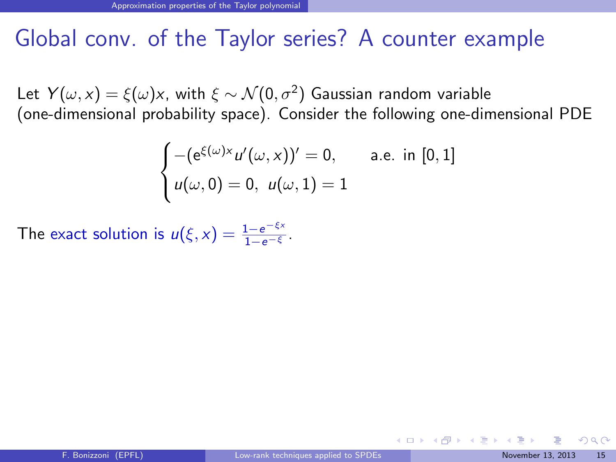## Global conv. of the Taylor series? A counter example

Let  $Y(\omega, \mathrm{x}) = \xi(\omega) \mathrm{x}$ , with  $\xi \sim \mathcal{N}(0, \sigma^2)$  Gaussian random variable (one-dimensional probability space). Consider the following one-dimensional PDE

$$
\begin{cases}\n-(e^{\xi(\omega)x}u'(\omega, x))' = 0, & \text{a.e. in } [0, 1] \\
u(\omega, 0) = 0, u(\omega, 1) = 1\n\end{cases}
$$

The exact solution is  $u(\xi, x) = \frac{1 - e^{-\xi x}}{1 - e^{-\xi}}$ .

<span id="page-36-0"></span> $\Omega$ 

 $\left\{ \begin{array}{ccc} 1 & 0 & 0 \\ 0 & 1 & 0 \end{array} \right.$   $\left\{ \begin{array}{ccc} 0 & 0 & 0 \\ 0 & 0 & 0 \end{array} \right.$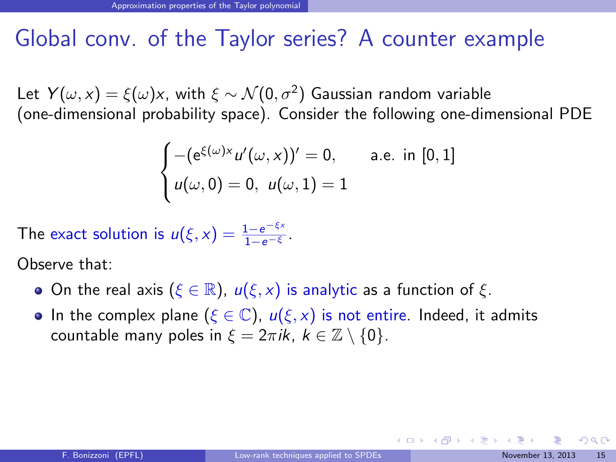# Global conv. of the Taylor series? A counter example

Let  $Y(\omega, \mathrm{x}) = \xi(\omega) \mathrm{x}$ , with  $\xi \sim \mathcal{N}(0, \sigma^2)$  Gaussian random variable (one-dimensional probability space). Consider the following one-dimensional PDE

$$
\begin{cases}\n-(e^{\xi(\omega)x}u'(\omega, x))' = 0, & \text{a.e. in } [0, 1] \\
u(\omega, 0) = 0, u(\omega, 1) = 1\n\end{cases}
$$

The exact solution is  $u(\xi, x) = \frac{1 - e^{-\xi x}}{1 - e^{-\xi}}$ .

Observe that:

- **O**n the real axis ( $\xi \in \mathbb{R}$ ),  $u(\xi, x)$  is analytic as a function of  $\xi$ .
- In the complex plane ( $\xi \in \mathbb{C}$ ),  $u(\xi, x)$  is not entire. Indeed, it admits countable many poles in  $\xi = 2\pi i k$ ,  $k \in \mathbb{Z} \setminus \{0\}$ .

<span id="page-37-0"></span> $\Omega$ 

 $\left\{ \begin{array}{ccc} 1 & 0 & 0 \\ 0 & 1 & 0 \end{array} \right.$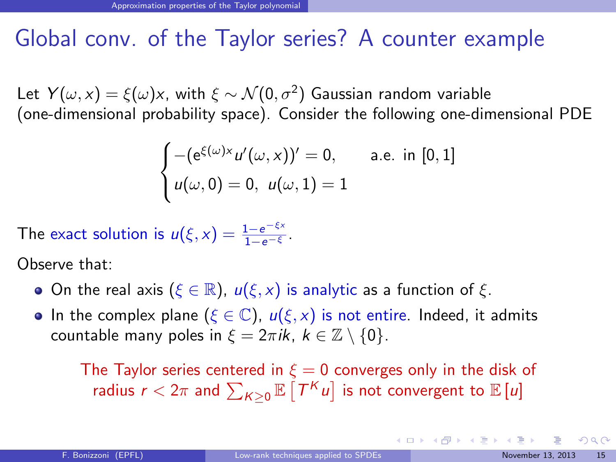# Global conv. of the Taylor series? A counter example

Let  $Y(\omega, \mathrm{x}) = \xi(\omega) \mathrm{x}$ , with  $\xi \sim \mathcal{N}(0, \sigma^2)$  Gaussian random variable (one-dimensional probability space). Consider the following one-dimensional PDE

$$
\begin{cases}\n-(e^{\xi(\omega)x}u'(\omega, x))' = 0, & \text{a.e. in } [0, 1] \\
u(\omega, 0) = 0, u(\omega, 1) = 1\n\end{cases}
$$

The exact solution is  $u(\xi, x) = \frac{1 - e^{-\xi x}}{1 - e^{-\xi}}$ .

Observe that:

- **O**n the real axis ( $\xi \in \mathbb{R}$ ),  $u(\xi, x)$  is analytic as a function of  $\xi$ .
- In the complex plane ( $\xi \in \mathbb{C}$ ),  $u(\xi, x)$  is not entire. Indeed, it admits countable many poles in  $\xi = 2\pi i k$ ,  $k \in \mathbb{Z} \setminus \{0\}$ .

The Taylor series centered in  $\xi = 0$  converges only in the disk of radius  $r < 2\pi$  and  $\sum_{K\geq 0} \mathbb{E}\left[ T^K u \right]$  is not convergent to  $\mathbb{E}\left[ u \right]$ 

<span id="page-38-0"></span> $\Omega$ 

**K ロ ト K 御 ト K 澄 ト K 差 ト**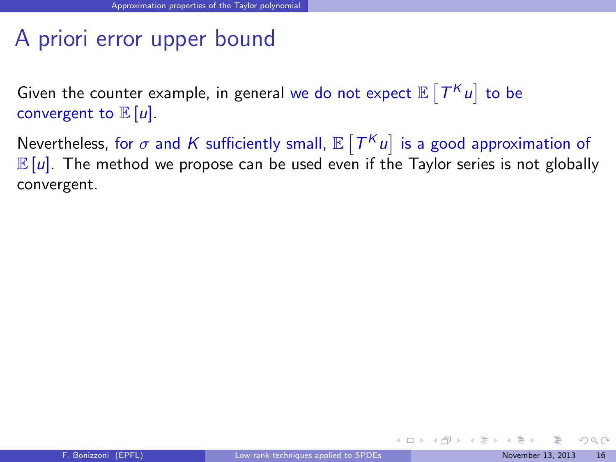# A priori error upper bound

Given the counter example, in general we do not expect  $\mathbb{E}\left[T^K u\right]$  to be convergent to  $\mathbb{E}[u]$ .

Nevertheless, for  $\sigma$  and  $K$  sufficiently small,  $\mathbb{E}\left[T^K u\right]$  is a good approximation of  $\mathbb{E}[u]$ . The method we propose can be used even if the Taylor series is not globally convergent.

<span id="page-39-0"></span> $QQ$ 

 $\left\{ \begin{array}{ccc} 1 & 0 & 0 \\ 0 & 1 & 0 \end{array} \right.$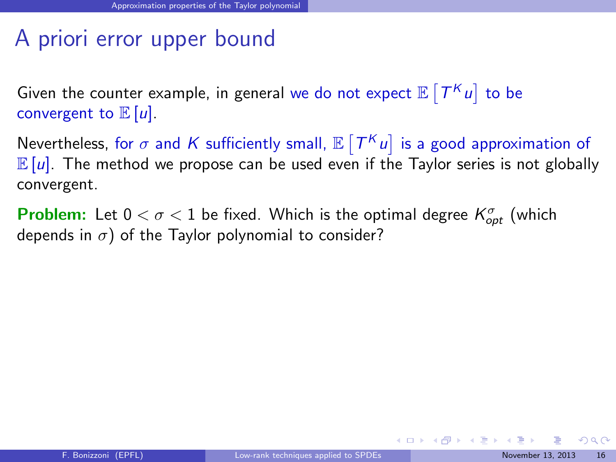# A priori error upper bound

Given the counter example, in general we do not expect  $\mathbb{E}\left[T^K u\right]$  to be convergent to  $\mathbb{E}[u]$ .

Nevertheless, for  $\sigma$  and  $K$  sufficiently small,  $\mathbb{E}\left[T^K u\right]$  is a good approximation of  $\mathbb{E}[u]$ . The method we propose can be used even if the Taylor series is not globally convergent.

**Problem:** Let  $0 < \sigma < 1$  be fixed. Which is the optimal degree  $K_{opt}^{\sigma}$  (which depends in  $\sigma$ ) of the Taylor polynomial to consider?

<span id="page-40-0"></span> $QQ$ 

 $\left\{ \begin{array}{ccc} 1 & 0 & 0 \\ 0 & 1 & 0 \end{array} \right.$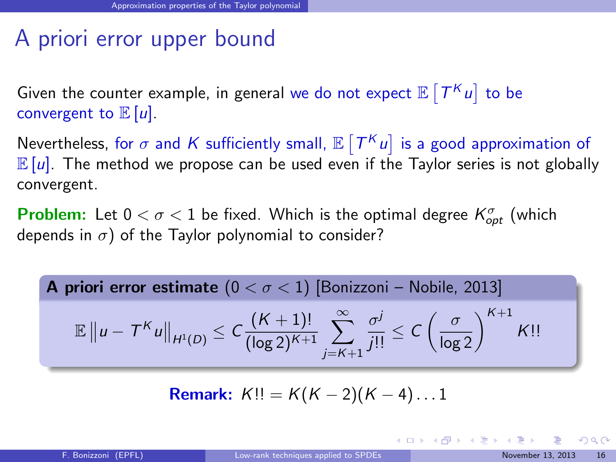# A priori error upper bound

Given the counter example, in general we do not expect  $\mathbb{E}\left[T^K u\right]$  to be convergent to  $\mathbb{E}[u]$ .

Nevertheless, for  $\sigma$  and  $K$  sufficiently small,  $\mathbb{E}\left[T^K u\right]$  is a good approximation of  $\mathbb{E}[u]$ . The method we propose can be used even if the Taylor series is not globally convergent.

**Problem:** Let  $0 < \sigma < 1$  be fixed. Which is the optimal degree  $K_{opt}^{\sigma}$  (which depends in  $\sigma$ ) of the Taylor polynomial to consider?

**A priori error estimate**  $(0 < \sigma < 1)$  [\[Bonizzoni – Nobile, 2013\]](#page-77-0)  $\mathbb{E} \|u - T^{K}u\|_{H^{1}(D)} \leq C \frac{(K+1)!}{(\log 2)^{K+1}} \sum_{j=K+1}^{\infty}$  $\frac{\sigma^j}{j!!} \leq C \left( \frac{\sigma}{\log 2} \right)^{K+1} K!!$ 

**Remark:** 
$$
K!! = K(K-2)(K-4)...1
$$

<span id="page-41-0"></span> $\Omega$ 

イロメ 不優 トス 差 トス 差 トー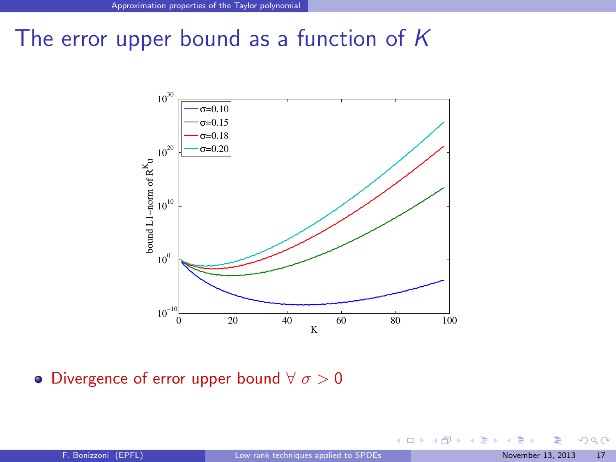#### The error upper bound as a function of  $K$



• Divergence of error upper bound  $\forall \sigma > 0$ 

**K ロ ト K 御 ト K 君 ト** 

<span id="page-42-0"></span> $290$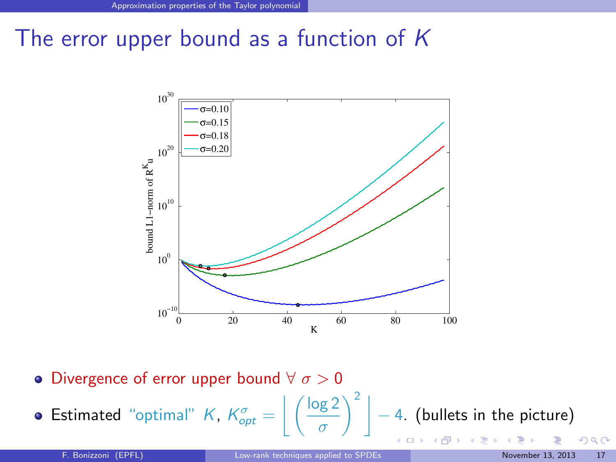## The error upper bound as a function of  $K$



• Divergence of error upper bound  $\forall \sigma > 0$ 

Estimated "optimal" K,  $K_{opt}^{\sigma} = \left| \left( \frac{\log 2}{\sigma} \right)^2 \right| - 4$ . (bullets in the picture)  $\int_{0}^{2}$   $\Big|$   $-$  4. (bullets in the picture)

**K ロ ト K 何 ト K** 

σ

<span id="page-43-0"></span>つへへ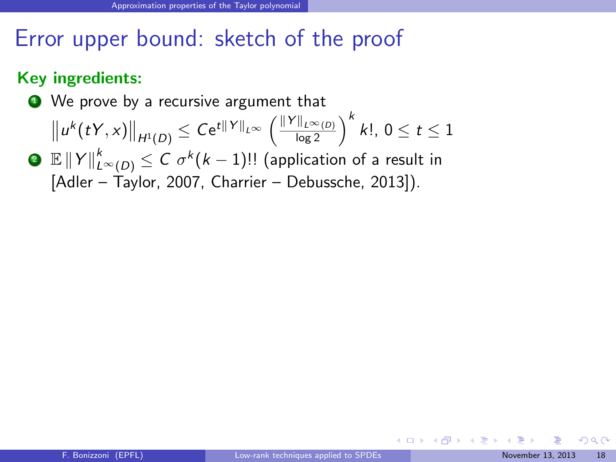#### Key ingredients:

● We prove by a recursive argument that

$$
||u^{k}(tY,x)||_{H^{1}(D)} \leq Ce^{t||Y||_{L^{\infty}}}\left(\frac{||Y||_{L^{\infty}(D)}}{\log 2}\right)^{k} k!, \ 0 \leq t \leq 1
$$

 $\textbf{P} \ \ \mathbb{E} \left\| Y \right\|_{L^\infty(D)}^k \leq C \ \sigma^k (k-1)!!$  (application of a result in [\[Adler – Taylor, 2007,](#page-77-1) [Charrier – Debussche, 2013\]](#page-77-2)).

<span id="page-44-0"></span> $\Omega$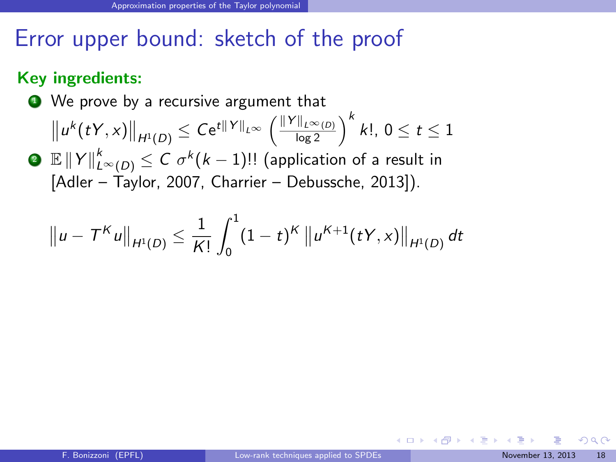#### Key ingredients:

● We prove by a recursive argument that

$$
\|u^{k}(tY,x)\|_{H^{1}(D)} \leq Ce^{t\|Y\|_{L^{\infty}}}\left(\frac{\|Y\|_{L^{\infty}(D)}}{\log 2}\right)^{k} k!,\ 0\leq t\leq 1
$$

 $\textbf{P} \ \ \mathbb{E} \left\| Y \right\|_{L^\infty(D)}^k \leq C \ \sigma^k (k-1)!!$  (application of a result in [\[Adler – Taylor, 2007,](#page-77-1) [Charrier – Debussche, 2013\]](#page-77-2)).

$$
\|u-T^K u\|_{H^1(D)} \leq \frac{1}{K!} \int_0^1 (1-t)^K \|u^{K+1}(tY,x)\|_{H^1(D)} dt
$$

<span id="page-45-0"></span> $\Omega$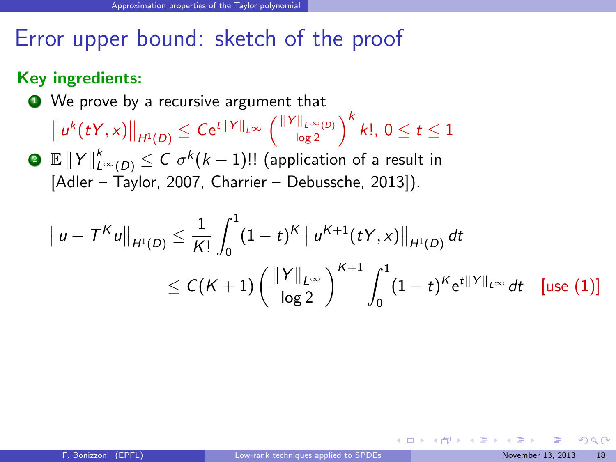#### Key ingredients:

● We prove by a recursive argument that

 $\|u^{k}(tY,x)\|_{H^{1}(D)} \leq Ce^{t\|Y\|_{L^{\infty}}}\left(\frac{\|Y\|_{L^{\infty}(D)}}{\log 2}\right)^{k} k!, 0 \leq t \leq 1$ 

 $\textbf{P} \ \ \mathbb{E} \left\| Y \right\|_{L^\infty(D)}^k \leq C \ \sigma^k (k-1)!!$  (application of a result in [\[Adler – Taylor, 2007,](#page-77-1) [Charrier – Debussche, 2013\]](#page-77-2)).

$$
\|u - T^{K}u\|_{H^{1}(D)} \leq \frac{1}{K!} \int_{0}^{1} (1-t)^{K} \|u^{K+1}(tY,x)\|_{H^{1}(D)} dt
$$
  

$$
\leq C(K+1) \left(\frac{\|Y\|_{L^{\infty}}}{\log 2}\right)^{K+1} \int_{0}^{1} (1-t)^{K} e^{t\|Y\|_{L^{\infty}}} dt \quad \text{[use (1)]}
$$

<span id="page-46-0"></span> $\Omega$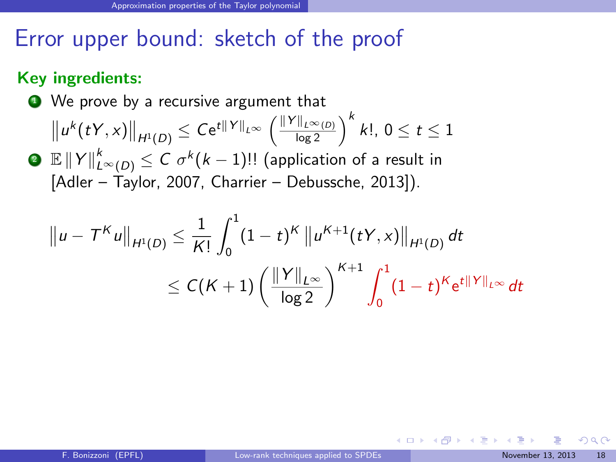#### Key ingredients:

● We prove by a recursive argument that

$$
\|u^{k}(tY,x)\|_{H^{1}(D)} \leq Ce^{t\|Y\|_{L^{\infty}}}\left(\frac{\|Y\|_{L^{\infty}(D)}}{\log 2}\right)^{k} k!,\ 0\leq t\leq 1
$$

 $\textbf{P} \ \ \mathbb{E} \left\| Y \right\|_{L^\infty(D)}^k \leq C \ \sigma^k (k-1)!!$  (application of a result in [\[Adler – Taylor, 2007,](#page-77-1) [Charrier – Debussche, 2013\]](#page-77-2)).

$$
\|u - T^K u\|_{H^1(D)} \leq \frac{1}{K!} \int_0^1 (1-t)^K \|u^{K+1}(tY, x)\|_{H^1(D)} dt
$$
  

$$
\leq C(K+1) \left(\frac{\|Y\|_{L^{\infty}}}{\log 2}\right)^{K+1} \int_0^1 (1-t)^K e^{t\|Y\|_{L^{\infty}}} dt
$$

<span id="page-47-0"></span> $\Omega$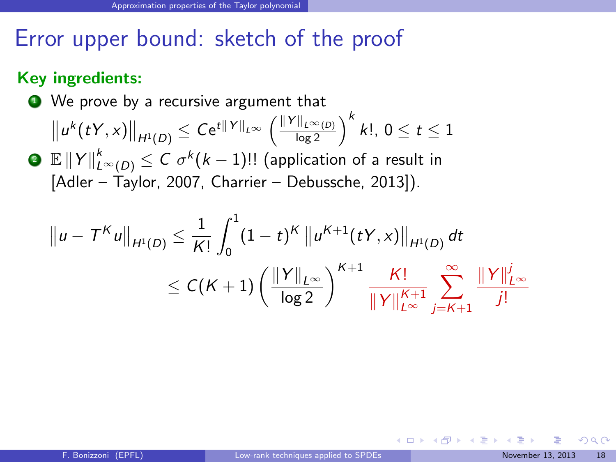#### Key ingredients:

● We prove by a recursive argument that

$$
\|u^{k}(tY,x)\|_{H^{1}(D)} \leq Ce^{t\|Y\|_{L^{\infty}}}\left(\frac{\|Y\|_{L^{\infty}(D)}}{\log 2}\right)^{k} k!,\ 0\leq t\leq 1
$$

 $\textbf{P} \ \ \mathbb{E} \left\| Y \right\|_{L^\infty(D)}^k \leq C \ \sigma^k (k-1)!!$  (application of a result in [\[Adler – Taylor, 2007,](#page-77-1) [Charrier – Debussche, 2013\]](#page-77-2)).

$$
||u - T^{K}u||_{H^{1}(D)} \leq \frac{1}{K!} \int_{0}^{1} (1-t)^{K} ||u^{K+1}(tY, x)||_{H^{1}(D)} dt
$$
  

$$
\leq C(K+1) \left(\frac{||Y||_{L^{\infty}}}{\log 2}\right)^{K+1} \frac{K!}{||Y||_{L^{\infty}}^{K+1}} \sum_{j=K+1}^{\infty} \frac{||Y||_{L^{\infty}}^{j}}{j!}
$$

<span id="page-48-0"></span> $\Omega$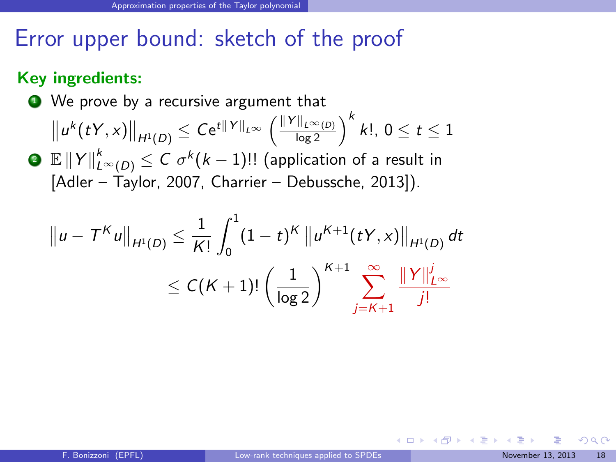#### Key ingredients:

● We prove by a recursive argument that

$$
\|u^{k}(tY,x)\|_{H^{1}(D)} \leq Ce^{t\|Y\|_{L^{\infty}}}\left(\frac{\|Y\|_{L^{\infty}(D)}}{\log 2}\right)^{k} k!,\ 0\leq t\leq 1
$$

 $\textbf{P} \ \ \mathbb{E} \left\| Y \right\|_{L^\infty(D)}^k \leq C \ \sigma^k (k-1)!!$  (application of a result in [\[Adler – Taylor, 2007,](#page-77-1) [Charrier – Debussche, 2013\]](#page-77-2)).

$$
||u - T^{K}u||_{H^{1}(D)} \leq \frac{1}{K!} \int_{0}^{1} (1-t)^{K} ||u^{K+1}(tY, x)||_{H^{1}(D)} dt
$$
  

$$
\leq C(K+1)! \left(\frac{1}{\log 2}\right)^{K+1} \sum_{j=K+1}^{\infty} \frac{||Y||_{L^{\infty}}^{j}}{j!}
$$

<span id="page-49-0"></span> $\Omega$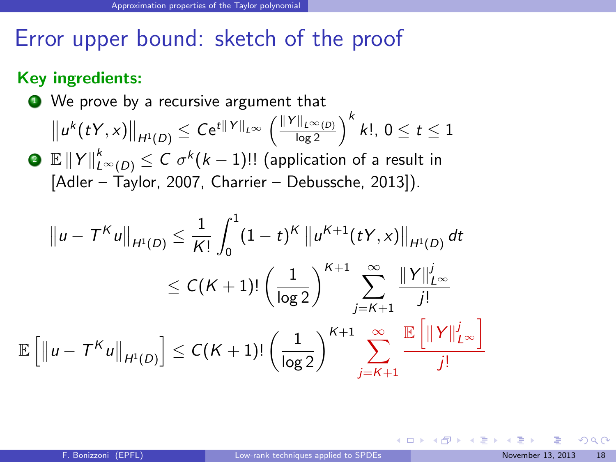#### Key ingredients:

● We prove by a recursive argument that

$$
\left\|u^{k}(tY,x)\right\|_{H^{1}(D)} \leq Ce^{t\|Y\|_{L^{\infty}}}\left(\frac{\|Y\|_{L^{\infty}(D)}}{\log 2}\right)^{k}k!,\ 0\leq t\leq 1
$$

 $\textbf{P} \ \ \mathbb{E} \left\| Y \right\|_{L^\infty(D)}^k \leq C \ \sigma^k (k-1)!!$  (application of a result in [\[Adler – Taylor, 2007,](#page-77-1) [Charrier – Debussche, 2013\]](#page-77-2)).

$$
||u - T^{K}u||_{H^{1}(D)} \leq \frac{1}{K!} \int_{0}^{1} (1-t)^{K} ||u^{K+1}(tY, x)||_{H^{1}(D)} dt
$$
  

$$
\leq C(K+1)! \left(\frac{1}{\log 2}\right)^{K+1} \sum_{j=K+1}^{\infty} \frac{||Y||_{L^{\infty}}^{j}}{j!}
$$
  

$$
[||u - T^{K}u||_{H^{1}(D)}] \leq C(K+1)! \left(\frac{1}{\log 2}\right)^{K+1} \sum_{j=K+1}^{\infty} \frac{||Y||_{L^{\infty}}^{j}}{j!}
$$

E

<span id="page-50-0"></span> $\Omega$ 

メロト メ何ト メミト メミト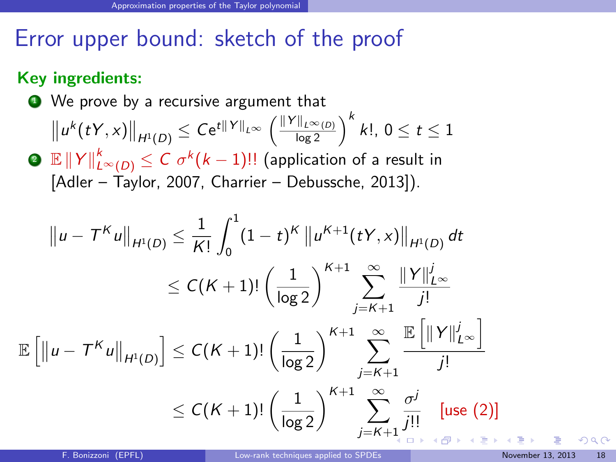#### Key ingredients:

● We prove by a recursive argument that

$$
||u^{k}(tY,x)||_{H^{1}(D)} \leq Ce^{t||Y||_{L^{\infty}}}\left(\frac{||Y||_{L^{\infty}(D)}}{\log 2}\right)^{k} k!, \ 0 \leq t \leq 1
$$

 $\textbf{2} \ \ \mathbb{E} \left\lVert Y \right\rVert_{L^{\infty}(D)}^k \leq C \ \sigma^k (k-1)!!$  (application of a result in [\[Adler – Taylor, 2007,](#page-77-1) [Charrier – Debussche, 2013\]](#page-77-2)).

$$
||u - T^{K}u||_{H^{1}(D)} \leq \frac{1}{K!} \int_{0}^{1} (1-t)^{K} ||u^{K+1}(t^{K},x)||_{H^{1}(D)} dt
$$
  
\n
$$
\leq C(K+1)! \left(\frac{1}{\log 2}\right)^{K+1} \sum_{j=K+1}^{\infty} \frac{||Y||_{L^{\infty}}^{j}}{j!}
$$
  
\n
$$
\mathbb{E} [||u - T^{K}u||_{H^{1}(D)}] \leq C(K+1)! \left(\frac{1}{\log 2}\right)^{K+1} \sum_{j=K+1}^{\infty} \frac{\mathbb{E} [||Y||_{L^{\infty}}^{j}]}{j!}
$$
  
\n
$$
\leq C(K+1)! \left(\frac{1}{\log 2}\right)^{K+1} \sum_{j=K+1}^{\infty} \frac{\sigma^{j}}{j!} \quad \text{[use (2)]}
$$

<span id="page-51-0"></span> $\partial \alpha \curvearrowright$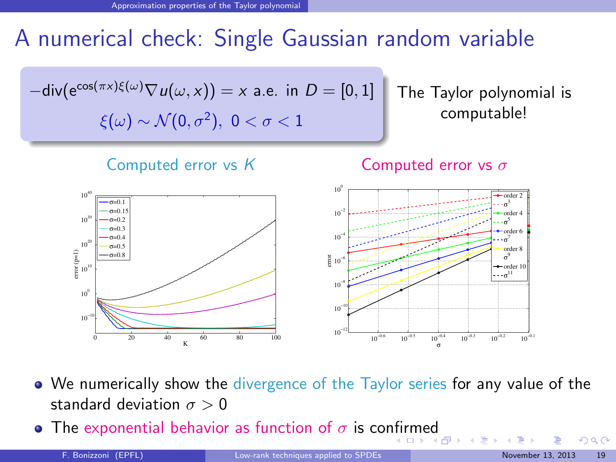# A numerical check: Single Gaussian random variable



We numerically show the divergence of the Taylor series for any value of the standard deviation  $\sigma > 0$ 

**•** The exponential behavior as function of  $\sigma$  is co[nfir](#page-51-0)[me](#page-53-0)[d](#page-51-0)

<span id="page-52-0"></span> $\Omega$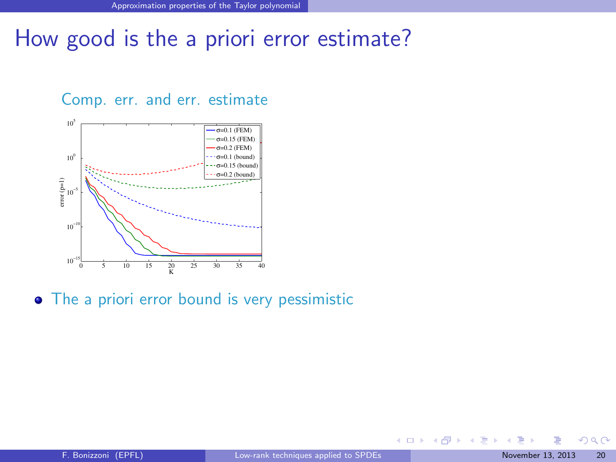# How good is the a priori error estimate?

#### Comp. err. and err. estimate



• The a priori error bound is very pessimistic

<span id="page-53-0"></span> $QQ$ 

メロメ メタメ メミメス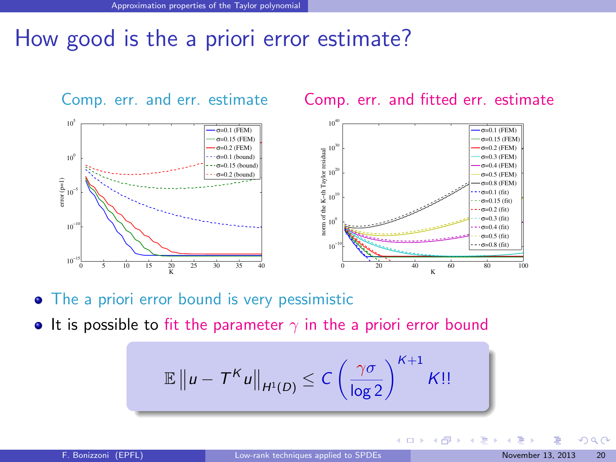# How good is the a priori error estimate?



- The a priori error bound is very pessimistic
- It is possible to fit the parameter  $\gamma$  in the a priori error bound

$$
\mathbb{E} \|u - T^{K}u\|_{H^{1}(D)} \leq C \left(\frac{\gamma\sigma}{\log 2}\right)^{K+1} K!!
$$

<span id="page-54-0"></span> $\Omega$ 

**K ロ ト K 倒 ト K 差 ト K**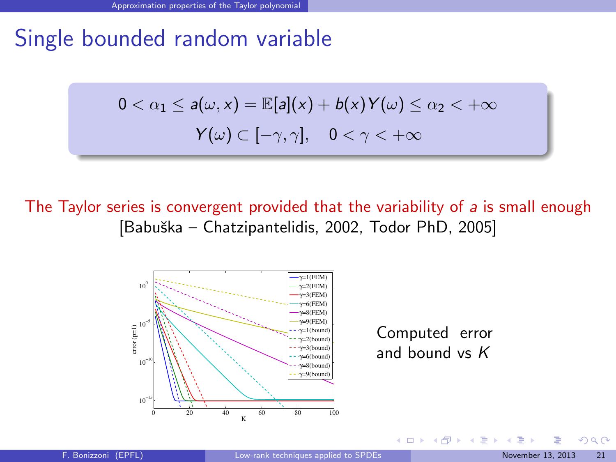# Single bounded random variable

$$
0 < \alpha_1 \le a(\omega, x) = \mathbb{E}[a](x) + b(x)Y(\omega) \le \alpha_2 < +\infty
$$
\n
$$
Y(\omega) \subset [-\gamma, \gamma], \quad 0 < \gamma < +\infty
$$

The Taylor series is convergent provided that the variability of  $a$  is small enough [Babuška – Chatzipantelidis, 2002, [Todor PhD, 2005\]](#page-77-4)



Computed error and bound vs K

 $4$  O  $\rightarrow$   $4$   $\overline{m}$   $\rightarrow$   $4$   $\overline{m}$   $\rightarrow$ 

<span id="page-55-0"></span> $\Omega$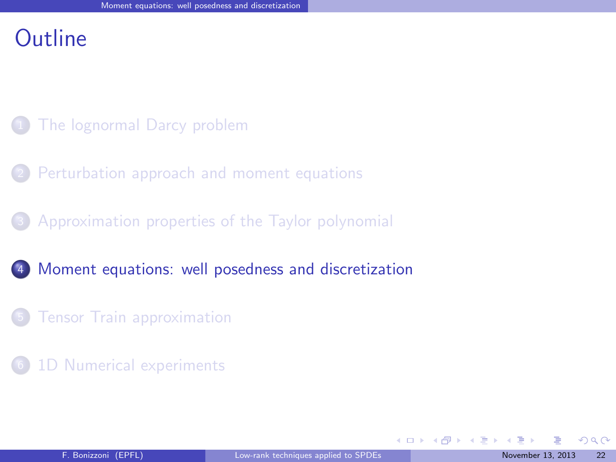## Outline

- [The lognormal Darcy problem](#page-2-0)
- [Perturbation approach and moment equations](#page-7-0)
- <sup>3</sup> [Approximation properties of the Taylor polynomial](#page-32-0)
- <sup>4</sup> [Moment equations: well posedness and discretization](#page-56-0)
	- **[Tensor Train approximation](#page-63-0)**
- [1D Numerical experiments](#page-70-0)

<span id="page-56-0"></span> $\Omega$ 

 $\left\{ \begin{array}{ccc} 1 & 0 & 0 \\ 0 & 1 & 0 \end{array} \right\}$  ,  $\left\{ \begin{array}{ccc} 0 & 0 & 0 \\ 0 & 0 & 0 \end{array} \right\}$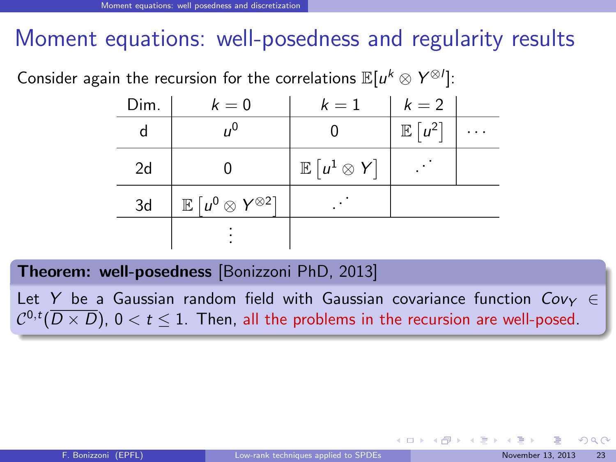# Moment equations: well-posedness and regularity results

Consider again the recursion for the correlations  $\mathbb{E}[u^k\otimes Y^{\otimes l}].$ 

| Dim. | $k=0$                                                 | $k=1$                        | $k=2$             |   |
|------|-------------------------------------------------------|------------------------------|-------------------|---|
|      | $n^{0}$                                               |                              | $\mathbb{E}[u^2]$ | . |
| 2d   |                                                       | $\mathbb{E} [u^1 \otimes Y]$ |                   |   |
| 3d   | $\mathbb{E} \left[ u^0 \otimes Y^{\otimes 2} \right]$ |                              |                   |   |
|      |                                                       |                              |                   |   |

Theorem: well-posedness [\[Bonizzoni PhD, 2013\]](#page-77-5)

Let Y be a Gaussian random field with Gaussian covariance function  $Cov_Y \in$  $\mathcal{C}^{0,t}(\overline{D\times D})$ ,  $0 < t \leq 1.$  Then, all the problems in the recursion are well-posed.

<span id="page-57-0"></span> $QQ$ 

 $\left\{ \begin{array}{ccc} 1 & 0 & 0 \\ 0 & 1 & 0 \end{array} \right.$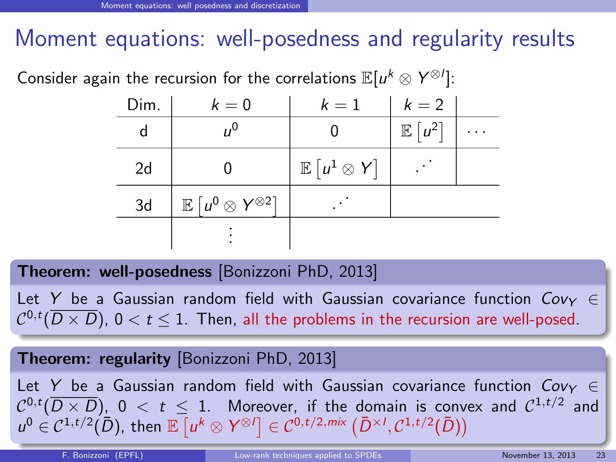# Moment equations: well-posedness and regularity results

Consider again the recursion for the correlations  $\mathbb{E}[u^k\otimes Y^{\otimes l}].$ 

| Dim. | $k=0$                                                 | $k=1$                        | $k=2$             |  |
|------|-------------------------------------------------------|------------------------------|-------------------|--|
| d    | $n^{0}$                                               |                              | $\mathbb{E}[u^2]$ |  |
| 2d   |                                                       | $\mathbb{E} [u^1 \otimes Y]$ |                   |  |
| 3d   | $\mathbb{E} \left[ u^0 \otimes Y^{\otimes 2} \right]$ |                              |                   |  |
|      |                                                       |                              |                   |  |

#### Theorem: well-posedness [\[Bonizzoni PhD, 2013\]](#page-77-5)

Let Y be a Gaussian random field with Gaussian covariance function  $Cov_Y \in$  $\mathcal{C}^{0,t}(\overline{D\times D})$ ,  $0 < t \leq 1.$  Then, all the problems in the recursion are well-posed.

#### Theorem: regularity [\[Bonizzoni PhD, 2013\]](#page-77-5)

<span id="page-58-0"></span>university-logo Let Y be a Gaussian random field with Gaussian covariance function  $Cov_Y \in$  ${\cal C}^{0,t}(\overline{D\times D})$ ,  $0\ <\ t\ \le\ 1.$  Moreover, if the domain is convex and  ${\cal C}^{1,t/2}$  and  $u^0 \in C^{1,t/2}(\bar{D})$  $u^0 \in C^{1,t/2}(\bar{D})$  $u^0 \in C^{1,t/2}(\bar{D})$  $u^0 \in C^{1,t/2}(\bar{D})$  $u^0 \in C^{1,t/2}(\bar{D})$  $u^0 \in C^{1,t/2}(\bar{D})$  $u^0 \in C^{1,t/2}(\bar{D})$  $u^0 \in C^{1,t/2}(\bar{D})$ , then  $\mathbb{E} \left[ u^k \otimes Y^{\otimes l} \right] \in C^{0,t/2,mix} \left( \bar{D}^{\times l}, C^{1,t/2}(\bar{D}) \right)$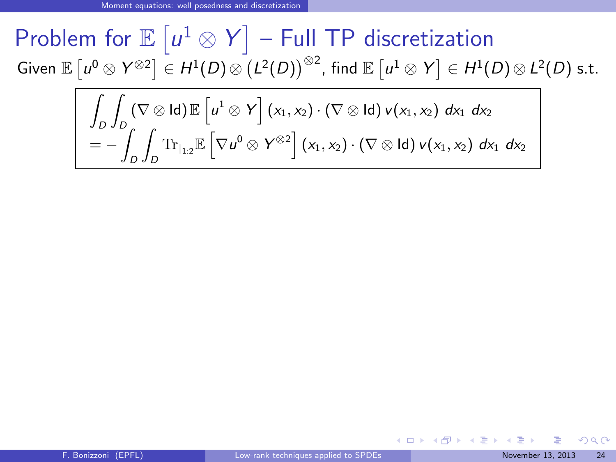# Problem for  $\mathbb{E} \left[ u^1 \otimes Y \right]$  – Full TP discretization Given  $\mathbb{E}\left[ \left. u^0\otimes \mathsf{Y}^{\otimes 2} \right] \in H^1(D)\otimes \left( L^2(D)\right)^{\otimes 2}$ , find  $\mathbb{E}\left[ \left. u^1\otimes \mathsf{Y} \right] \in H^1(D)\otimes L^2(D)$  s.t.

$$
\int_{D} \int_{D} (\nabla \otimes \text{Id}) \mathbb{E} \left[ u^{1} \otimes Y \right] (x_{1}, x_{2}) \cdot (\nabla \otimes \text{Id}) v(x_{1}, x_{2}) dx_{1} dx_{2}
$$
\n
$$
= - \int_{D} \int_{D} \text{Tr}_{|_{1,2}} \mathbb{E} \left[ \nabla u^{0} \otimes Y^{\otimes 2} \right] (x_{1}, x_{2}) \cdot (\nabla \otimes \text{Id}) v(x_{1}, x_{2}) dx_{1} dx_{2}
$$

メロト メ何 トメ ヨ トメ ヨ ト

<span id="page-59-0"></span> $QQ$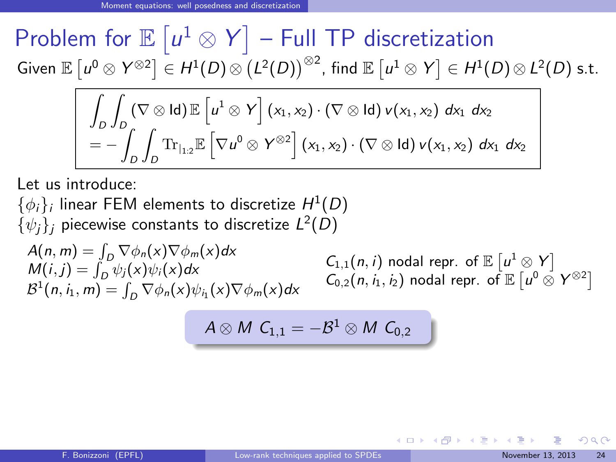# Problem for  $\mathbb{E} \left[ u^1 \otimes Y \right]$  – Full TP discretization Given  $\mathbb{E}\left[ \left. u^0\otimes \mathsf{Y}^{\otimes 2} \right] \in H^1(D)\otimes \left( L^2(D)\right)^{\otimes 2}$ , find  $\mathbb{E}\left[ \left. u^1\otimes \mathsf{Y} \right] \in H^1(D)\otimes L^2(D)$  s.t.

$$
\int_{D} \int_{D} (\nabla \otimes \text{Id}) \mathbb{E} \left[ u^{1} \otimes Y \right] (x_{1}, x_{2}) \cdot (\nabla \otimes \text{Id}) v(x_{1}, x_{2}) dx_{1} dx_{2}
$$
\n
$$
= - \int_{D} \int_{D} \text{Tr}_{|_{12}} \mathbb{E} \left[ \nabla u^{0} \otimes Y^{\otimes 2} \right] (x_{1}, x_{2}) \cdot (\nabla \otimes \text{Id}) v(x_{1}, x_{2}) dx_{1} dx_{2}
$$

Let us introduce:

 $\{\phi_i\}_i$  linear FEM elements to discretize  $H^1(D)$  $\{\psi_j\}_j$  piecewise constants to discretize  $L^2(D)$ 

 $A(n, m) = \int_D \nabla \phi_n(x) \nabla \phi_m(x) dx$  $M(i, j) = \int_D \psi_j(x) \psi_i(x) dx$  $\mathcal{B}^1(n, i_1, m) = \int_D \nabla \phi_n(x) \psi_{i_1}(x) \nabla \phi_m(x) dx$ 

 $C_{1,1}(n, i)$  nodal repr. of  $\mathbb{E} \left[ u^1 \otimes Y \right]$  $C_{0,2}(n, i_1, i_2)$  nodal repr. of  $\mathbb{E} \left[ u^0 \otimes Y^{\otimes 2} \right]$ 

メロト メ何 トメ ヨ トメ ヨ ト

$$
A\otimes M \ C_{1,1}=-\mathcal{B}^1\otimes M \ C_{0,2}
$$

<span id="page-60-0"></span> $\Omega$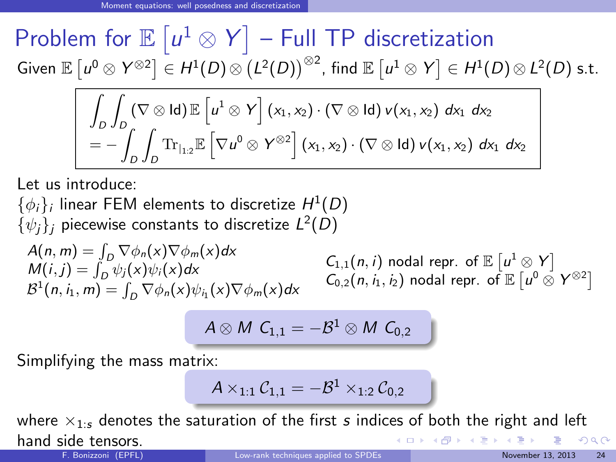Problem for  $\mathbb{E} \left[ u^1 \otimes Y \right]$  – Full TP discretization Given  $\mathbb{E}\left[ \left. u^0\otimes \mathsf{Y}^{\otimes 2} \right] \in H^1(D)\otimes \left( L^2(D)\right)^{\otimes 2}$ , find  $\mathbb{E}\left[ \left. u^1\otimes \mathsf{Y} \right] \in H^1(D)\otimes L^2(D)$  s.t.

$$
\int_{D} \int_{D} (\nabla \otimes \text{Id}) \mathbb{E} \left[ u^{1} \otimes Y \right] (x_{1}, x_{2}) \cdot (\nabla \otimes \text{Id}) v(x_{1}, x_{2}) dx_{1} dx_{2}
$$
\n
$$
= - \int_{D} \int_{D} \text{Tr}_{|_{12}} \mathbb{E} \left[ \nabla u^{0} \otimes Y^{\otimes 2} \right] (x_{1}, x_{2}) \cdot (\nabla \otimes \text{Id}) v(x_{1}, x_{2}) dx_{1} dx_{2}
$$

Let us introduce:

 $\{\phi_i\}_i$  linear FEM elements to discretize  $H^1(D)$  $\{\psi_j\}_j$  piecewise constants to discretize  $L^2(D)$ 

 $A(n, m) = \int_D \nabla \phi_n(x) \nabla \phi_m(x) dx$  $M(i, j) = \int_D \psi_j(x) \psi_i(x) dx$  $\mathcal{B}^1(n, i_1, m) = \int_D \nabla \phi_n(x) \psi_{i_1}(x) \nabla \phi_m(x) dx$ 

<span id="page-61-0"></span> $C_{1,1}(n, i)$  nodal repr. of  $\mathbb{E} \left[ u^1 \otimes Y \right]$  $C_{0,2}(n, i_1, i_2)$  nodal repr. of  $\mathbb{E} \left[ u^0 \otimes Y^{\otimes 2} \right]$ 

$$
A\otimes M \ C_{1,1}=-\mathcal{B}^1\otimes M \ C_{0,2}
$$

Simplifying the mass matrix:

$$
\mathcal{A} \times_{1:1} \mathcal{C}_{1,1} = - \mathcal{B}^1 \times_{1:2} \mathcal{C}_{0,2}
$$

where  $\times_{1:s}$  denotes the saturation of the first  $s$  indices of both the right and left hand side tensors. メロメ メ御 メメ きょうぼき  $\Omega$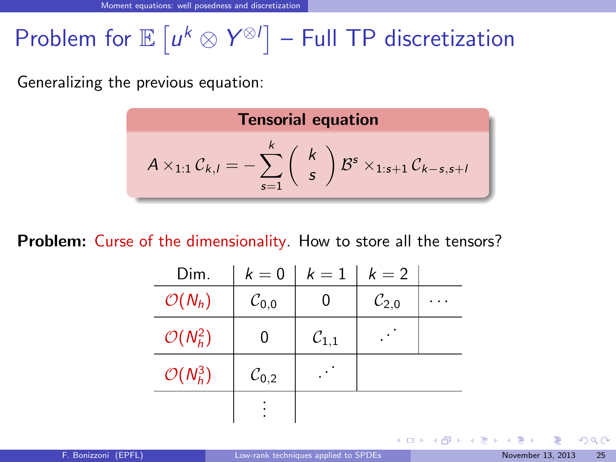# Problem for  $\mathbb{E} \left[ u^k \otimes Y^{\otimes l} \right]$  – Full TP discretization

Generalizing the previous equation:

**Tensorial equation**  
\n
$$
A \times_{1:1} C_{k,l} = -\sum_{s=1}^{k} {k \choose s} B^s \times_{1:s+1} C_{k-s,s+l}
$$

**Problem:** Curse of the dimensionality. How to store all the tensors?

| Dim.                 | $k=0$               | $k=1$               | $k=2$               |  |
|----------------------|---------------------|---------------------|---------------------|--|
| $\mathcal{O}(N_h)$   | $\mathcal{C}_{0,0}$ |                     | $\mathcal{C}_{2,0}$ |  |
| $\mathcal{O}(N_h^2)$ |                     | $\mathcal{C}_{1,1}$ |                     |  |
| $\mathcal{O}(N_h^3)$ | $\mathcal{C}_{0,2}$ |                     |                     |  |
|                      |                     |                     |                     |  |

<span id="page-62-0"></span> $\Omega$ 

**K ロ ト K 何 ト K ヨ ト K**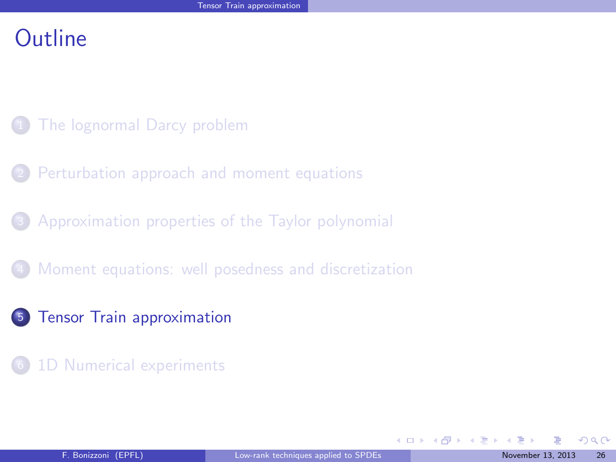#### **Outline**

- [The lognormal Darcy problem](#page-2-0)
- [Perturbation approach and moment equations](#page-7-0)
- <sup>3</sup> [Approximation properties of the Taylor polynomial](#page-32-0)
- [Moment equations: well posedness and discretization](#page-56-0)
- <sup>5</sup> [Tensor Train approximation](#page-63-0)
- [1D Numerical experiments](#page-70-0)

<span id="page-63-0"></span> $\Omega$ 

 $\equiv$ 

メロトメ 御下 メミトメ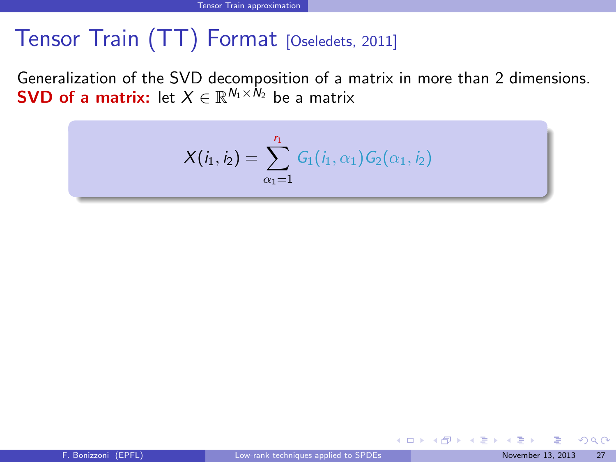# Tensor Train (TT) Format [\[Oseledets, 2011\]](#page-77-6)

Generalization of the SVD decomposition of a matrix in more than 2 dimensions. **SVD of a matrix:** let  $X \in \mathbb{R}^{N_1 \times N_2}$  be a matrix

$$
X(i_1, i_2) = \sum_{\alpha_1=1}^{r_1} G_1(i_1, \alpha_1) G_2(\alpha_1, i_2)
$$

<span id="page-64-0"></span> $\Omega$ 

 $\left\{ \begin{array}{ccc} 1 & 0 & 0 \\ 0 & 1 & 0 \end{array} \right\}$  ,  $\left\{ \begin{array}{ccc} 0 & 0 & 0 \\ 0 & 0 & 0 \end{array} \right\}$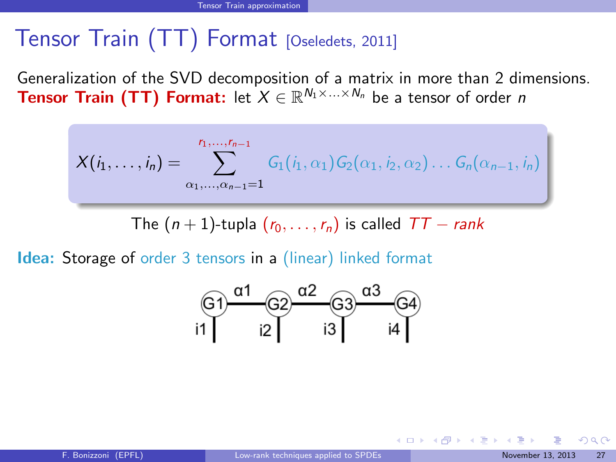# Tensor Train (TT) Format [\[Oseledets, 2011\]](#page-77-6)

Generalization of the SVD decomposition of a matrix in more than 2 dimensions. Tensor Train (TT) Format: let  $X \in \mathbb{R}^{N_1 \times ... \times N_n}$  be a tensor of order n

$$
X(i_1,\ldots,i_n) = \sum_{\alpha_1,\ldots,\alpha_{n-1}=1}^{r_1,\ldots,r_{n-1}} G_1(i_1,\alpha_1) G_2(\alpha_1,i_2,\alpha_2) \ldots G_n(\alpha_{n-1},i_n)
$$

The  $(n + 1)$ -tupla  $(r_0, \ldots, r_n)$  is called  $TT - rank$ 

Idea: Storage of order 3 tensors in a (linear) linked format



<span id="page-65-0"></span> $QQ$ 

**K ロ ト K 何 ト K ヨ ト K**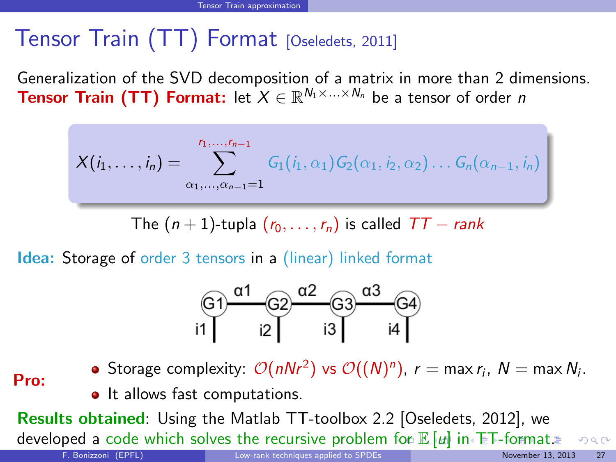# Tensor Train (TT) Format [\[Oseledets, 2011\]](#page-77-6)

Generalization of the SVD decomposition of a matrix in more than 2 dimensions. Tensor Train (TT) Format: let  $X \in \mathbb{R}^{N_1 \times ... \times N_n}$  be a tensor of order n

$$
X(i_1,\ldots,i_n) = \sum_{\alpha_1,\ldots,\alpha_{n-1}=1}^{r_1,\ldots,r_{n-1}} G_1(i_1,\alpha_1) G_2(\alpha_1,i_2,\alpha_2) \ldots G_n(\alpha_{n-1},i_n)
$$

The  $(n + 1)$ -tupla  $(r_0, \ldots, r_n)$  is called  $TT - rank$ 

Idea: Storage of order 3 tensors in a (linear) linked format

<span id="page-66-0"></span>

Pro: Storage complexity:  $\mathcal{O}(n N r^2)$  vs  $\mathcal{O}((N)^n)$ ,  $r = \max r_i, \ N = \max N_i.$ 

• It allows fast computations.

Results obtained: Using the Matlab TT-toolbox 2.2 [Oseledets, 2012], we developed a code which solves the recursive problem [fo](#page-65-0)r  $\mathbb{E}[\mu]$  $\mathbb{E}[\mu]$  $\mathbb{E}[\mu]$  $\mathbb{E}[\mu]$  $\mathbb{E}[\mu]$  $\mathbb{E}[\mu]$  $\mathbb{E}[\mu]$  [i](#page-67-0)[n](#page-62-0) [T](#page-63-0)[T-](#page-70-0)[f](#page-62-0)[or](#page-63-0)[m](#page-70-0)[at.](#page-0-0)  $299$ F. Bonizzoni (EPFL) [Low-rank techniques applied to SPDEs](#page-0-0) November 13, 2013 27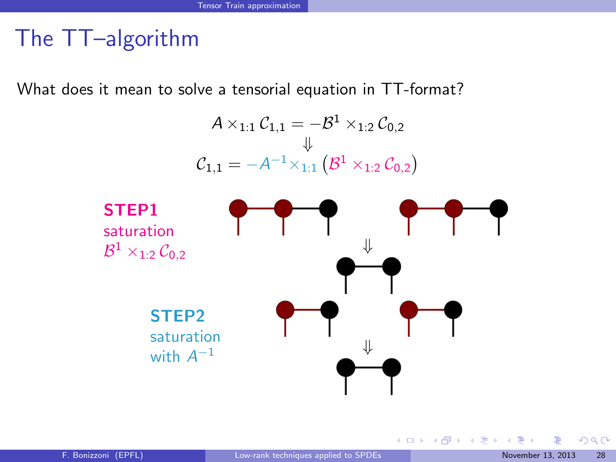# The TT–algorithm

What does it mean to solve a tensorial equation in TT-format?



<span id="page-67-0"></span> $QQ$ 

メロト メ御 トメ きょ メきょ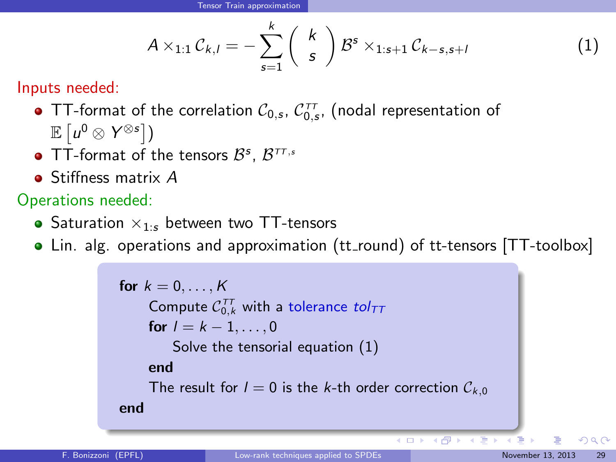<span id="page-68-1"></span>
$$
A \times_{1:1} C_{k,l} = -\sum_{s=1}^{k} \binom{k}{s} B^s \times_{1:s+1} C_{k-s,s+l}
$$
 (1)

Inputs needed:

- TT-format of the correlation  $\mathcal{C}_{0,s},\,\mathcal{C}_{0,s}^{\tau\tau}$  (nodal representation of  $\mathbb{E}\left[ u^0 \otimes Y^{\otimes s} \right]$ )
- TT-format of the tensors  $\mathcal{B}^s$ ,  $\mathcal{B}^{\tau\tau,s}$
- Stiffness matrix A

Operations needed:

- Saturation  $\times_{1}$ : between two TT-tensors
- Lin. alg. operations and approximation (tt\_round) of tt-tensors [TT-toolbox]

```
for k = 0, \ldots, KCompute \mathcal{C}^{\tau\tau}_{0,k} with a tolerance tol_{\tau\tau}for l = k - 1, \ldots, 0Solve the tensorial equation (1)
     end
     The result for l = 0 is the k-th order correction C_{k,0}end
```
<span id="page-68-0"></span> $\Omega$ 

 $(1)$   $(1)$   $(1)$   $(1)$   $(1)$   $(1)$   $(1)$   $(1)$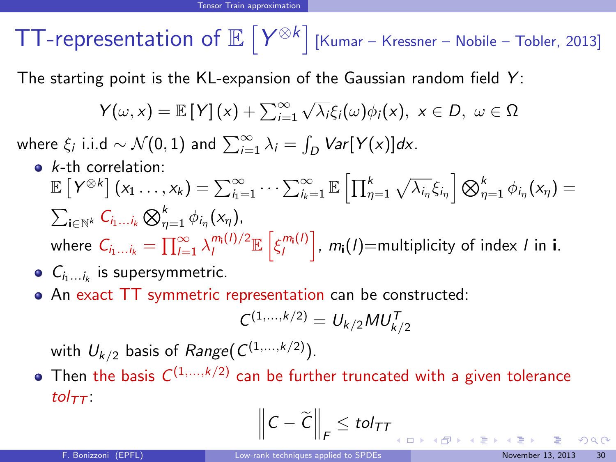**TT-representation of**  $\mathbb{E}\left[Y^{\otimes k}\right]$  **[\[Kumar – Kressner – Nobile – Tobler, 2013\]](#page-77-7)** 

The starting point is the KL-expansion of the Gaussian random field  $Y$ :

$$
Y(\omega, x) = \mathbb{E}[Y](x) + \sum_{i=1}^{\infty} \sqrt{\lambda_i} \xi_i(\omega) \phi_i(x), \ x \in D, \ \omega \in \Omega
$$

where  $\xi_i$  i.i.d  $\sim \mathcal{N}(0, 1)$  and  $\sum_{i=1}^{\infty} \lambda_i = \int_D Var[Y(x)]dx$ .

 $\bullet$  k-th correlation:

$$
\mathbb{E}\left[Y^{\otimes k}\right](x_1 \ldots, x_k) = \sum_{i_1=1}^{\infty} \cdots \sum_{i_k=1}^{\infty} \mathbb{E}\left[\prod_{\eta=1}^k \sqrt{\lambda_{i_\eta}} \xi_{i_\eta}\right] \bigotimes_{\eta=1}^k \phi_{i_\eta}(x_\eta) =
$$
  

$$
\sum_{i \in \mathbb{N}^k} C_{i_1 \ldots i_k} \bigotimes_{\eta=1}^k \phi_{i_\eta}(x_\eta),
$$
  
where  $C_{i_1 \ldots i_k} = \prod_{i=1}^{\infty} \lambda_i^{m_i(i)/2} \mathbb{E}\left[\xi_i^{m_i(i)}\right], m_i(i) = \text{multiplicity of index } i \text{ in } i.$ 

- $C_{i_1...i_k}$  is supersymmetric.
- An exact TT symmetric representation can be constructed:

$$
C^{(1,\ldots,k/2)} = U_{k/2} M U_{k/2}^T
$$

with  $\mathit{U}_{k/2}$  basis of  $Range(\mathit{C}^{(1,...,k/2)})$ .

Then the basis  $C^{(1,...,k/2)}$  can be further truncated with a given tolerance tol $_{TT}$ :

$$
\left\|C-\widetilde{C}\right\|_F\leq\text{tol}_{TT}
$$

<span id="page-69-0"></span> $\Omega$ 

メロメ メ御き メミメ メミメ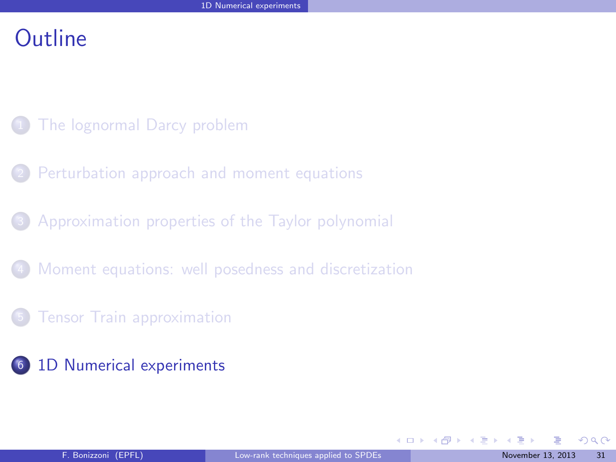## **Outline**

- [The lognormal Darcy problem](#page-2-0)
- [Perturbation approach and moment equations](#page-7-0)
- <sup>3</sup> [Approximation properties of the Taylor polynomial](#page-32-0)
- [Moment equations: well posedness and discretization](#page-56-0)
- **[Tensor Train approximation](#page-63-0)**
- <sup>6</sup> [1D Numerical experiments](#page-70-0)

<span id="page-70-0"></span> $\Omega$ 

 $\equiv$ 

メロトメ 御下 メミトメ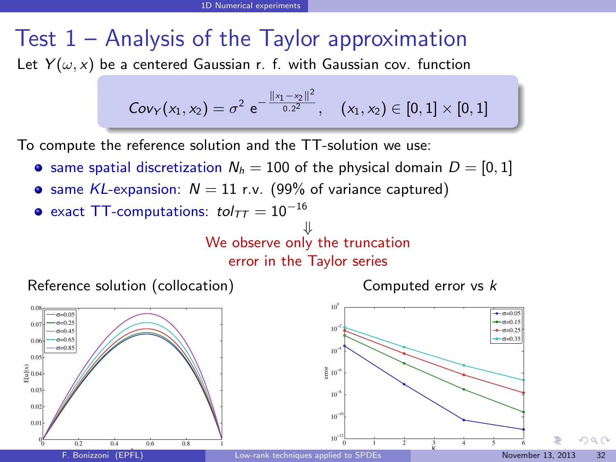# Test 1 – Analysis of the Taylor approximation

Let  $Y(\omega, x)$  be a centered Gaussian r. f. with Gaussian cov. function

$$
\text{Cov}_Y(x_1,x_2)=\sigma^2\,\,e^{-\frac{\||x_1-x_2\|^2}{0.2^2}},\quad \, (x_1,x_2)\in[0,1]\times[0,1]
$$

To compute the reference solution and the TT-solution we use:

- same spatial discretization  $N_h = 100$  of the physical domain  $D = [0, 1]$
- **•** same KL-expansion:  $N = 11$  r.v. (99% of variance captured)
- exact TT-computations:  $tol_{TT} = 10^{-16}$

⇓ We observe only the truncation

error in the Taylor series

Reference solution (collocation)

Computed error vs k





<span id="page-71-0"></span> $\Omega$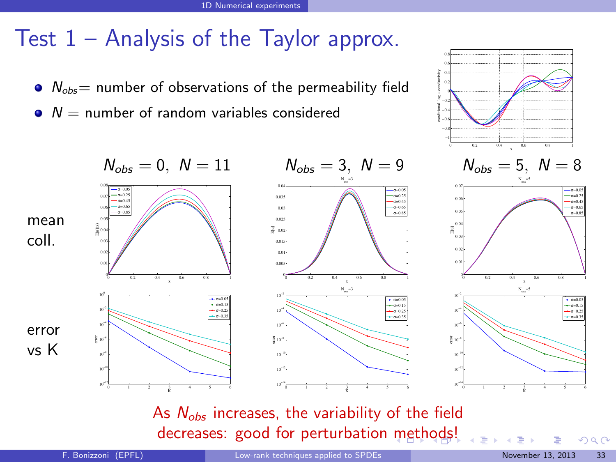### Test 1 – Analysis of the Taylor approx.

- $\bullet$   $N_{obs}$  = number of observations of the permeability field
- $N =$  number of random variables considered



As  $N_{obs}$  increases, the variability of the field decreases: good for perturbation [m](#page-71-0)e[th](#page-73-0)[o](#page-71-0)[ds](#page-72-0)[!](#page-73-0)

<span id="page-72-0"></span> $290$ 

−0.8 −0.6 −0.4 − 0 0.2 0.4 0.6 0.8

conditional log − conductivity<br>
conditional log − conditional log − conditions<br>
conditional log − conditions<br>
conditions of conditions of conditions of conditions of conditions of conditions of conditions of conditions<br>
co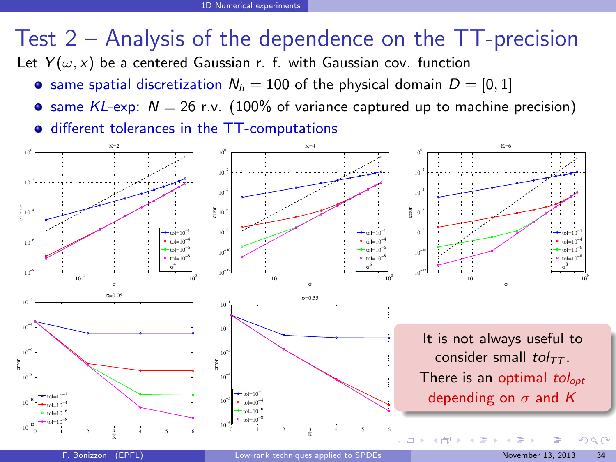## Test 2 – Analysis of the dependence on the TT-precision

Let  $Y(\omega, x)$  be a centered Gaussian r. f. with Gaussian cov. function

- same spatial discretization  $N_h = 100$  of the physical domain  $D = [0, 1]$
- **•** same KL-exp:  $N = 26$  r.v. (100% of variance captured up to machine precision)

<span id="page-73-0"></span> $\bullet$  different tolerances in the TT-computations

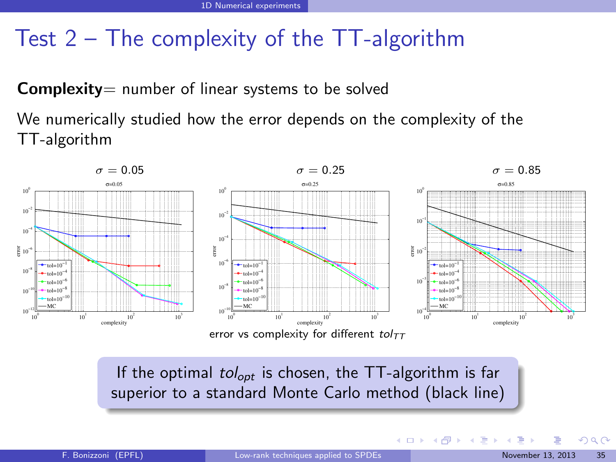### Test 2 – The complexity of the TT-algorithm

**Complexity** = number of linear systems to be solved

We numerically studied how the error depends on the complexity of the TT-algorithm



If the optimal  $tol_{opt}$  is chosen, the TT-algorithm is far superior to a standard Monte Carlo method (black line)

<span id="page-74-0"></span> $\Omega$ 

メロメ メタメ メミメス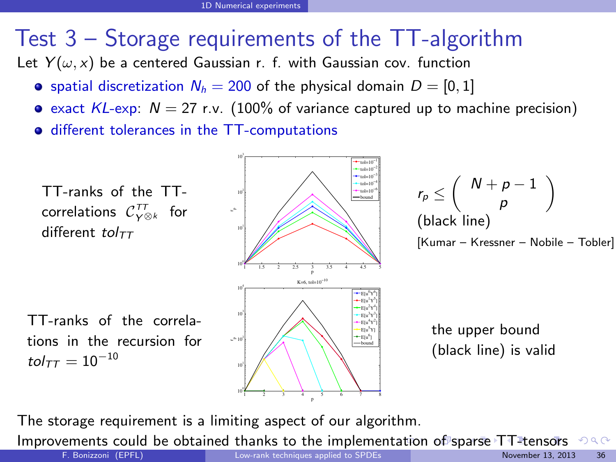## Test 3 – Storage requirements of the TT-algorithm

Let  $Y(\omega, x)$  be a centered Gaussian r. f. with Gaussian cov. function

- **•** spatial discretization  $N_h = 200$  of the physical domain  $D = [0, 1]$
- $\bullet$  exact KL-exp:  $N = 27$  r.v. (100% of variance captured up to machine precision)
- **•** different tolerances in the TT-computations



The storage requirement is a limiting aspect of our algorithm.

Improvements could be obtained thanks to the implemen[tat](#page-74-0)i[on](#page-76-0) [o](#page-74-0)[f s](#page-75-0)[p](#page-76-0)[ar](#page-69-0)[s](#page-70-0)[e T](#page-86-0)[T](#page-69-0)[-](#page-70-0)[ten](#page-86-0)[so](#page-0-0)[rs](#page-86-0)  $298$ 

<span id="page-75-0"></span> $\lambda$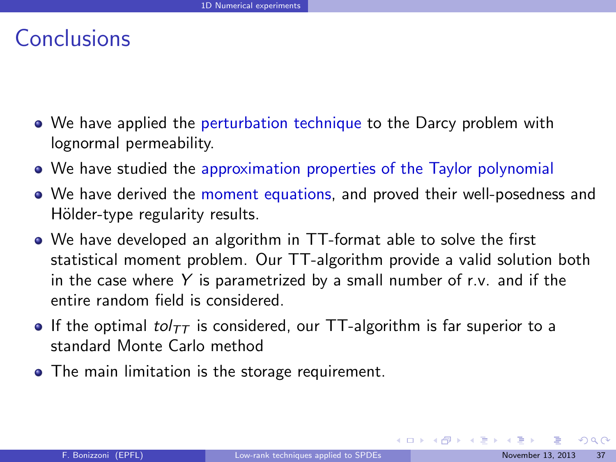### Conclusions

- We have applied the perturbation technique to the Darcy problem with lognormal permeability.
- We have studied the approximation properties of the Taylor polynomial
- We have derived the moment equations, and proved their well-posedness and Hölder-type regularity results.
- We have developed an algorithm in TT-format able to solve the first statistical moment problem. Our TT-algorithm provide a valid solution both in the case where  $Y$  is parametrized by a small number of r.v. and if the entire random field is considered.
- If the optimal tol $_{TT}$  is considered, our TT-algorithm is far superior to a standard Monte Carlo method
- The main limitation is the storage requirement.

<span id="page-76-0"></span> $QQ$ 

 $\left\{ \begin{array}{ccc} 1 & 0 & 0 \\ 0 & 1 & 0 \end{array} \right\}$  ,  $\left\{ \begin{array}{ccc} 0 & 0 & 0 \\ 0 & 0 & 0 \end{array} \right\}$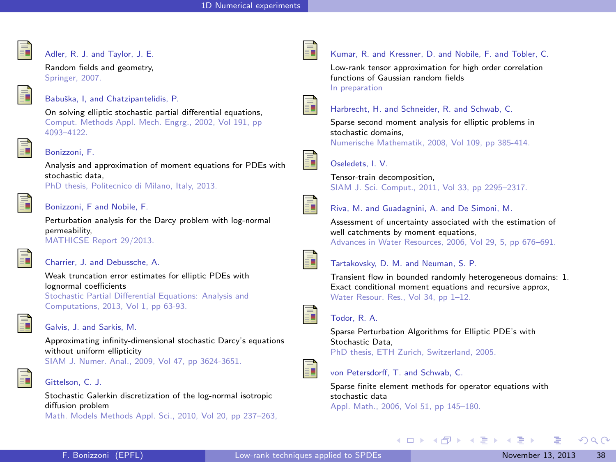

#### <span id="page-77-2"></span>Adler, R. J. and Taylor, J. E.

Random fields and geometry, Springer, 2007.

#### Babuška, I, and Chatzipantelidis, P.

On solving elliptic stochastic partial differential equations, Comput. Methods Appl. Mech. Engrg., 2002, Vol 191, pp 4093–4122.

#### Bonizzoni, F.

Analysis and approximation of moment equations for PDEs with stochastic data, PhD thesis, Politecnico di Milano, Italy, 2013.

#### Bonizzoni, F and Nobile, F.

Perturbation analysis for the Darcy problem with log-normal permeability, MATHICSE Report 29/2013.



#### <span id="page-77-1"></span>Charrier, J. and Debussche, A.

Weak truncation error estimates for elliptic PDEs with lognormal coefficients Stochastic Partial Differential Equations: Analysis and Computations, 2013, Vol 1, pp 63-93.



#### Galvis, J. and Sarkis, M.

Approximating infinity-dimensional stochastic Darcy's equations without uniform ellipticity SIAM J. Numer. Anal., 2009, Vol 47, pp 3624-3651.

#### Gittelson, C. J.

Stochastic Galerkin discretization of the log-normal isotropic diffusion problem Math. Models Methods Appl. Sci., 2010, Vol 20, pp 237–263,



#### Kumar, R. and Kressner, D. and Nobile, F. and Tobler, C.

Low-rank tensor approximation for high order correlation functions of Gaussian random fields In preparation



#### Harbrecht, H. and Schneider, R. and Schwab, C.

Sparse second moment analysis for elliptic problems in stochastic domains,

Numerische Mathematik, 2008, Vol 109, pp 385-414.



#### Oseledets, I. V.

Tensor-train decomposition, SIAM J. Sci. Comput., 2011, Vol 33, pp 2295–2317.



Riva, M. and Guadagnini, A. and De Simoni, M.

Assessment of uncertainty associated with the estimation of well catchments by moment equations, Advances in Water Resources, 2006, Vol 29, 5, pp 676–691.



#### Tartakovsky, D. M. and Neuman, S. P.

Transient flow in bounded randomly heterogeneous domains: 1. Exact conditional moment equations and recursive approx, Water Resour. Res., Vol 34, pp 1–12.



#### Todor, R. A.

Sparse Perturbation Algorithms for Elliptic PDE's with Stochastic Data, PhD thesis, ETH Zurich, Switzerland, 2005.



#### von Petersdorff, T. and Schwab, C.

Sparse finite element methods for operator equations with stochastic data Appl. Math., 2006, Vol 51, pp 145–180.

メロト メ御 トメ きょ メきょ

<span id="page-77-0"></span> $\Omega$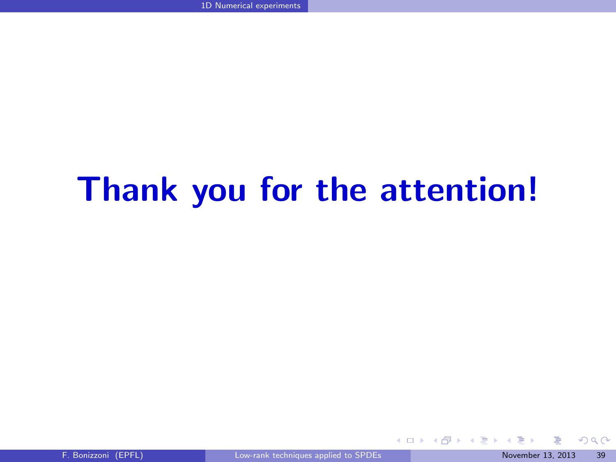# Thank you for the attention!

<span id="page-78-0"></span> $299$ 

 $A$  (D  $A$  +  $A$   $B$  +  $A$   $\Rightarrow$   $A$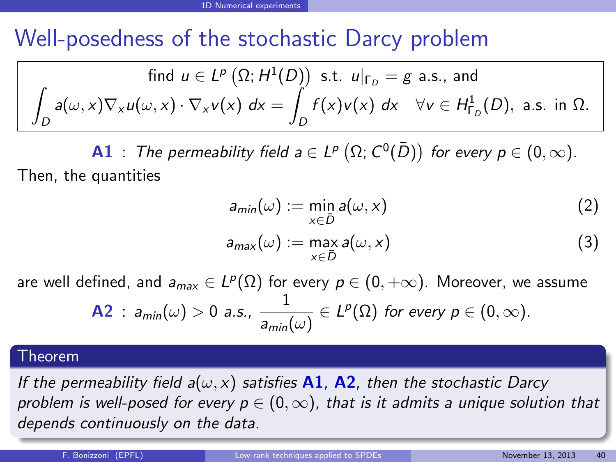### Well-posedness of the stochastic Darcy problem

find 
$$
u \in L^p(\Omega; H^1(D))
$$
 s.t.  $u|_{\Gamma_D} = g$  a.s., and  
\n
$$
\int_D a(\omega, x) \nabla_x u(\omega, x) \cdot \nabla_x v(x) dx = \int_D f(x) v(x) dx \quad \forall v \in H^1_{\Gamma_D}(D), \text{ a.s. in } \Omega.
$$

**A1** : The permeability field  $a \in L^p(\Omega; C^0(\overline{D}))$  for every  $p \in (0, \infty)$ . Then, the quantities

$$
a_{min}(\omega) := \min_{x \in \bar{D}} a(\omega, x) \tag{2}
$$

<span id="page-79-0"></span>
$$
a_{\max}(\omega) := \max_{x \in \bar{D}} a(\omega, x) \tag{3}
$$

are well defined, and  $a_{max}\in L^p(\Omega)$  for every  $p\in (0,+\infty).$  Moreover, we assume

**A2** : 
$$
a_{min}(\omega) > 0
$$
 a.s.,  $\frac{1}{a_{min}(\omega)} \in L^p(\Omega)$  for every  $p \in (0, \infty)$ .

### Theorem

university-logo If the permeability field  $a(\omega, x)$  satisfies A1, A2, then the stochastic Darcy problem is well-posed for every  $p \in (0,\infty)$ , that is it admits a unique solution that depends continuously on the data.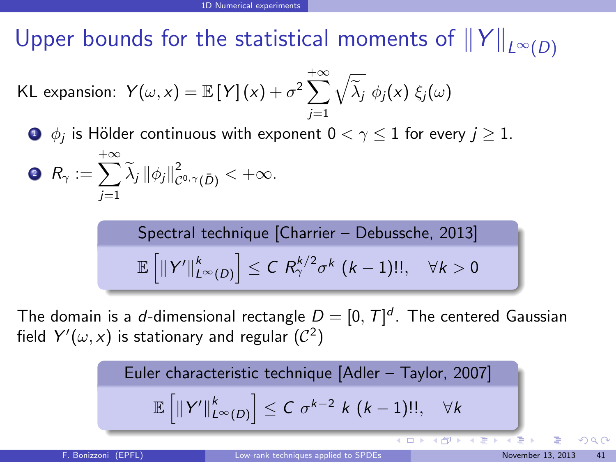Upper bounds for the statistical moments of  $||Y||_{L^{\infty}(D)}$ 

KL expansion: 
$$
Y(\omega, x) = \mathbb{E}[Y](x) + \sigma^2 \sum_{j=1}^{+\infty} \sqrt{\tilde{\lambda}_j} \phi_j(x) \xi_j(\omega)
$$

 $\bullet$   $\phi_j$  is Hölder continuous with exponent  $0<\gamma\leq 1$  for every  $j\geq 1.$  $+\infty$ 

$$
\bullet \ \ R_\gamma := \sum_{j=1} \widetilde{\lambda}_j \, \|\phi_j\|_{\mathcal{C}^{0,\gamma}(\bar{D})}^2 < +\infty.
$$

Spectral technique [Charrier – Debussche, 2013]

\n
$$
\mathbb{E}\left[\|Y'\|_{L^{\infty}(D)}^{k}\right] \leq C \, R_{\gamma}^{k/2} \sigma^{k} \, (k-1)!!, \quad \forall k > 0
$$

The domain is a d-dimensional rectangle  $D = [0, T]^d$ . The centered Gaussian field  $Y'(\omega, x)$  is stationary and regular  $(\mathcal{C}^2)$ 

Euler characteristic technique [Adler – Taylor, 2007]  

$$
\mathbb{E}\left[\|Y'\|_{L^{\infty}(D)}^{k}\right] \leq C \sigma^{k-2} k (k-1)!!, \quad \forall k
$$

<span id="page-80-0"></span> $\Omega$ 

**K ロ ト K 倒 ト K ヨ ト**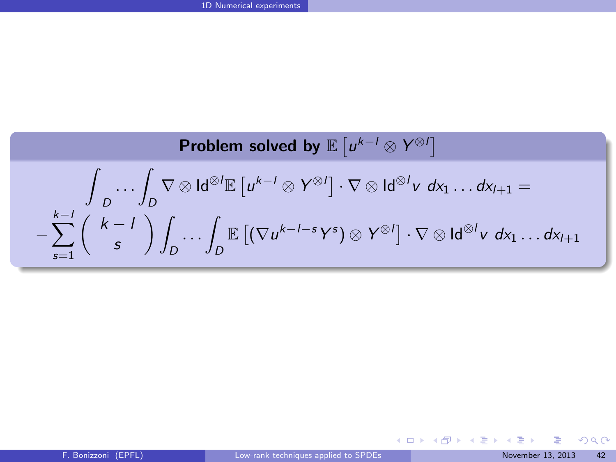Problem solved by 
$$
\mathbb{E}[u^{k-l} \otimes Y^{\otimes l}]
$$
  
\n
$$
\int_{D} \cdots \int_{D} \nabla \otimes \mathsf{Id}^{\otimes l} \mathbb{E}[u^{k-l} \otimes Y^{\otimes l}] \cdot \nabla \otimes \mathsf{Id}^{\otimes l} v \, dx_1 \dots dx_{l+1} =
$$
\n
$$
-\sum_{s=1}^{k-l} {k-l \choose s} \int_{D} \cdots \int_{D} \mathbb{E}[ (\nabla u^{k-l-s} Y^s) \otimes Y^{\otimes l}] \cdot \nabla \otimes \mathsf{Id}^{\otimes l} v \, dx_1 \dots dx_{l+1}
$$

<span id="page-81-0"></span>K ロ ▶ K 個 ▶ K 할 ▶ K 할 ▶ 이 할 수 있어요~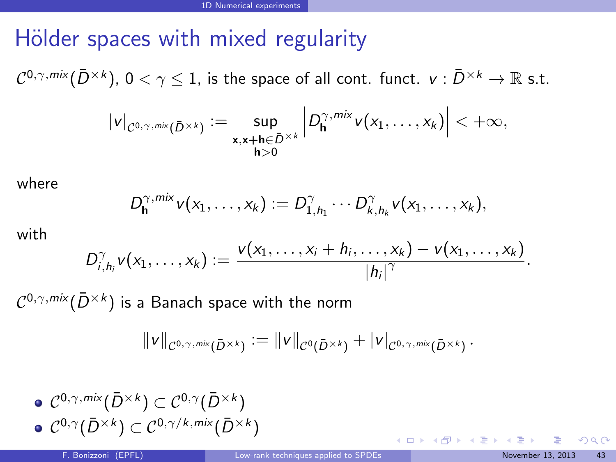### Hölder spaces with mixed regularity

 $\mathcal{C}^{0,\gamma,m\text{i} \mathsf{x}}(\bar{D}^{\times k})$ ,  $0<\gamma\leq 1$ , is the space of all cont. funct.  $\mathsf{v}:\bar{D}^{\times k}\to\mathbb{R}$  s.t.

$$
|v|_{\mathcal{C}^{0,\gamma,\text{mix}}(\bar{D}^{\times k})} := \sup_{\substack{\mathbf{x},\mathbf{x}+\mathbf{h}\in\bar{D}^{\times k} \\ \mathbf{h}>0}} \left| D_{\mathbf{h}}^{\gamma,\text{mix}}v(x_1,\ldots,x_k) \right| < +\infty,
$$

where

$$
D_{\mathbf{h}}^{\gamma,mix}v(x_1,\ldots,x_k):=D_{1,h_1}^{\gamma}\cdots D_{k,h_k}^{\gamma}v(x_1,\ldots,x_k),
$$

with

$$
D_{i,h_i}^{\gamma}v(x_1,\ldots,x_k):=\frac{v(x_1,\ldots,x_i+h_i,\ldots,x_k)-v(x_1,\ldots,x_k)}{|h_i|^{\gamma}}.
$$

 $\mathcal{C}^{0,\gamma,m\text{i} \mathsf{x}}(\bar{D}^{\times k})$  is a Banach space with the norm

$$
\|v\|_{\mathcal{C}^{0,\gamma,\text{mix}}(\bar{D}^{\times k})}:=\|v\|_{\mathcal{C}^{0}(\bar{D}^{\times k})}+|v|_{\mathcal{C}^{0,\gamma,\text{mix}}(\bar{D}^{\times k})}\,.
$$

\n- $$
\mathcal{C}^{0,\gamma,mix}(\bar{D}^{\times k}) \subset \mathcal{C}^{0,\gamma}(\bar{D}^{\times k})
$$
\n- $\mathcal{C}^{0,\gamma}(\bar{D}^{\times k}) \subset \mathcal{C}^{0,\gamma/k,mix}(\bar{D}^{\times k})$
\n

<span id="page-82-0"></span> $290$ 

イロト イ部ト イミト イミト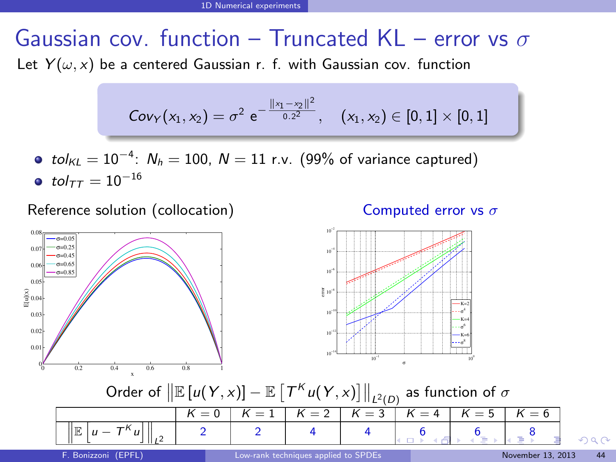### Gaussian cov. function – Truncated KL – error vs  $\sigma$ Let  $Y(\omega, x)$  be a centered Gaussian r. f. with Gaussian cov. function

$$
\text{Cov}_Y(x_1,x_2)=\sigma^2\,\,e^{-\frac{\|x_1-x_2\|^2}{0.2^2}},\quad \, (x_1,x_2)\in[0,1]\times[0,1]
$$

 $tol_{KL} = 10^{-4}$ :  $N_h = 100$ ,  $N = 11$  r.v. (99% of variance captured) • tol $_{TT} = 10^{-16}$ 

Reference solution (collocation)

<span id="page-83-0"></span>





Order of  $\big\| \mathbb{E} \left[ u(Y, x) \right] - \mathbb{E} \left[ \left. \mathsf{T}^K u(Y, x) \right] \right\|_{L^2(D)}$  as function of  $\sigma$  $K = 0$  |  $K = 1$  |  $K = 2$  |  $K = 3$  |  $K = 4$  |  $K = 5$  |  $K = 6$ university-logo  $\Vert$ e  $\int u - T^{k} u$ i II 2 2 4 4 [6](#page-70-0) 6 6 [8](#page-86-0)  $\Omega$  $\mathbb{I}$  $\frac{1}{2}$ 2 L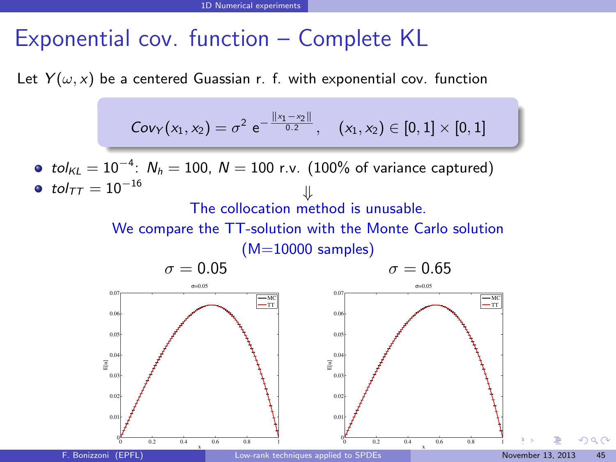### Exponential cov. function – Complete KL

Let  $Y(\omega, x)$  be a centered Guassian r. f. with exponential cov. function

$$
\text{Cov}_Y(x_1,x_2)=\sigma^2\,\,e^{-\frac{\|x_1-x_2\|}{0.2}}, \quad (x_1,x_2)\in [0,1]\times [0,1]
$$

 $tol_{KL} = 10^{-4}$ :  $N_h = 100$ ,  $N = 100$  r.v. (100% of variance captured)  $\bullet$  tol $\tau\tau = 10^{-16}$ 

### The collocation method is unusable.

We compare the TT-solution with the Monte Carlo solution (M=10000 samples)

$$
\sigma = 0.05
$$

<span id="page-84-0"></span> $\sigma = 0.65$ 

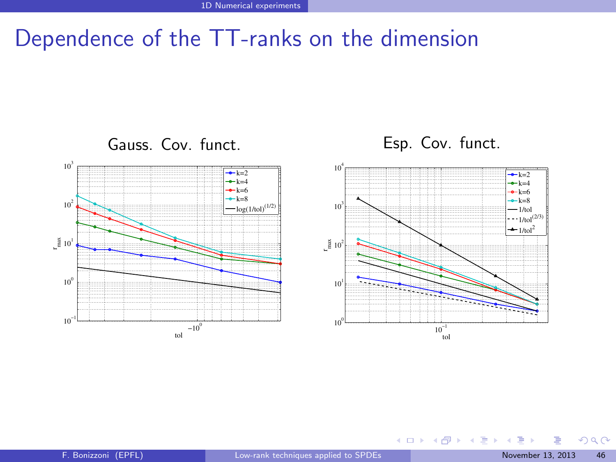### Dependence of the TT-ranks on the dimension



<span id="page-85-0"></span> $299$ 

メロメ メタメ メミメス